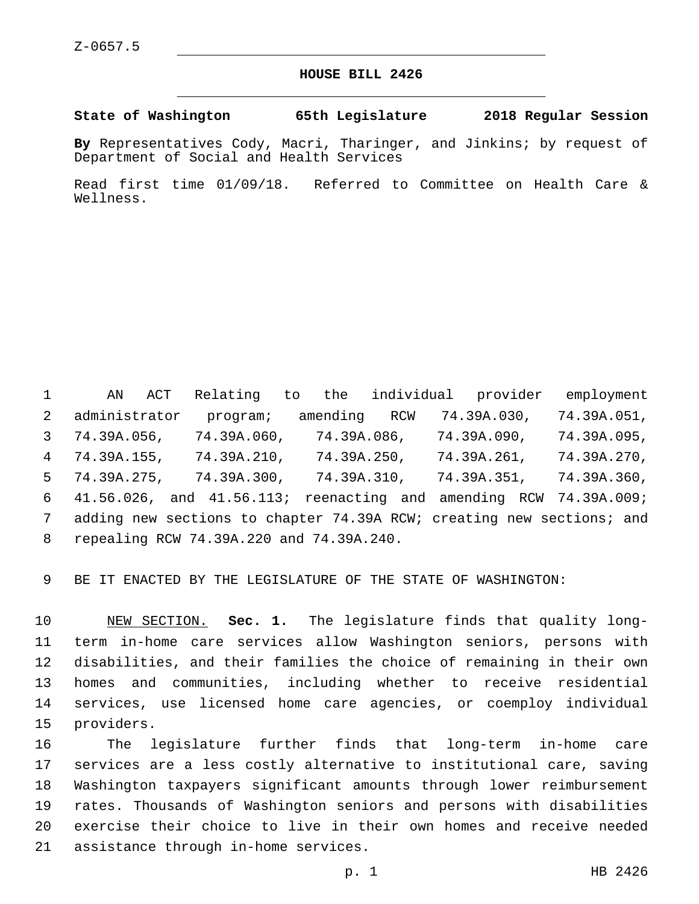## **HOUSE BILL 2426**

**State of Washington 65th Legislature 2018 Regular Session**

**By** Representatives Cody, Macri, Tharinger, and Jinkins; by request of Department of Social and Health Services

Read first time 01/09/18. Referred to Committee on Health Care & Wellness.

 AN ACT Relating to the individual provider employment administrator program; amending RCW 74.39A.030, 74.39A.051, 74.39A.056, 74.39A.060, 74.39A.086, 74.39A.090, 74.39A.095, 74.39A.155, 74.39A.210, 74.39A.250, 74.39A.261, 74.39A.270, 74.39A.275, 74.39A.300, 74.39A.310, 74.39A.351, 74.39A.360, 41.56.026, and 41.56.113; reenacting and amending RCW 74.39A.009; adding new sections to chapter 74.39A RCW; creating new sections; and repealing RCW 74.39A.220 and 74.39A.240.8

BE IT ENACTED BY THE LEGISLATURE OF THE STATE OF WASHINGTON:

 NEW SECTION. **Sec. 1.** The legislature finds that quality long- term in-home care services allow Washington seniors, persons with disabilities, and their families the choice of remaining in their own homes and communities, including whether to receive residential services, use licensed home care agencies, or coemploy individual providers.

 The legislature further finds that long-term in-home care services are a less costly alternative to institutional care, saving Washington taxpayers significant amounts through lower reimbursement rates. Thousands of Washington seniors and persons with disabilities exercise their choice to live in their own homes and receive needed 21 assistance through in-home services.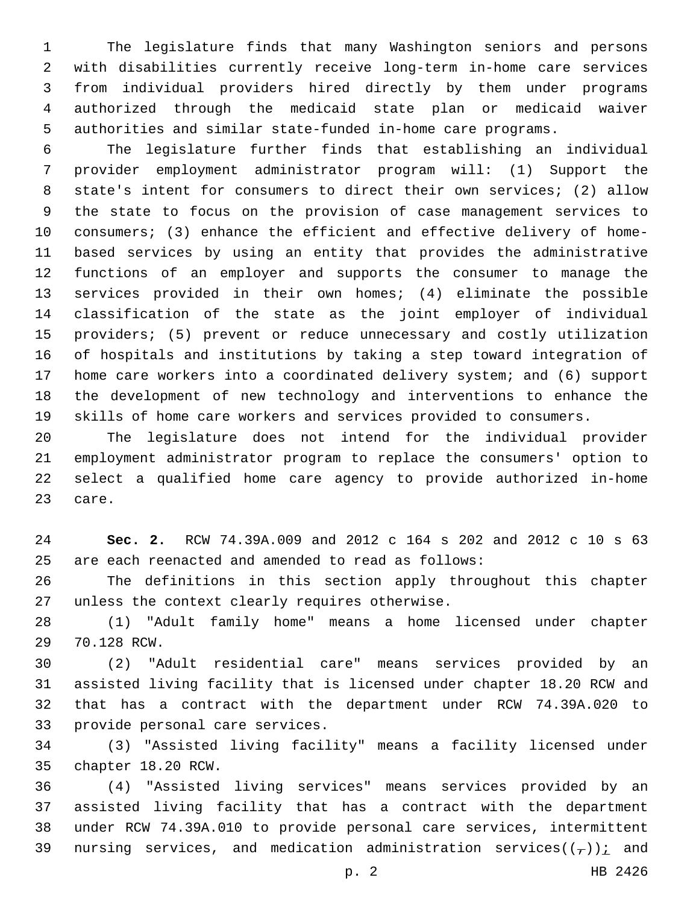The legislature finds that many Washington seniors and persons with disabilities currently receive long-term in-home care services from individual providers hired directly by them under programs authorized through the medicaid state plan or medicaid waiver authorities and similar state-funded in-home care programs.

 The legislature further finds that establishing an individual provider employment administrator program will: (1) Support the state's intent for consumers to direct their own services; (2) allow the state to focus on the provision of case management services to consumers; (3) enhance the efficient and effective delivery of home- based services by using an entity that provides the administrative functions of an employer and supports the consumer to manage the services provided in their own homes; (4) eliminate the possible classification of the state as the joint employer of individual providers; (5) prevent or reduce unnecessary and costly utilization of hospitals and institutions by taking a step toward integration of home care workers into a coordinated delivery system; and (6) support the development of new technology and interventions to enhance the skills of home care workers and services provided to consumers.

 The legislature does not intend for the individual provider employment administrator program to replace the consumers' option to select a qualified home care agency to provide authorized in-home 23 care.

 **Sec. 2.** RCW 74.39A.009 and 2012 c 164 s 202 and 2012 c 10 s 63 are each reenacted and amended to read as follows:

 The definitions in this section apply throughout this chapter 27 unless the context clearly requires otherwise.

 (1) "Adult family home" means a home licensed under chapter 29 70.128 RCW.

 (2) "Adult residential care" means services provided by an assisted living facility that is licensed under chapter 18.20 RCW and that has a contract with the department under RCW 74.39A.020 to 33 provide personal care services.

 (3) "Assisted living facility" means a facility licensed under 35 chapter 18.20 RCW.

 (4) "Assisted living services" means services provided by an assisted living facility that has a contract with the department under RCW 74.39A.010 to provide personal care services, intermittent 39 nursing services, and medication administration services( $(\tau)$ ); and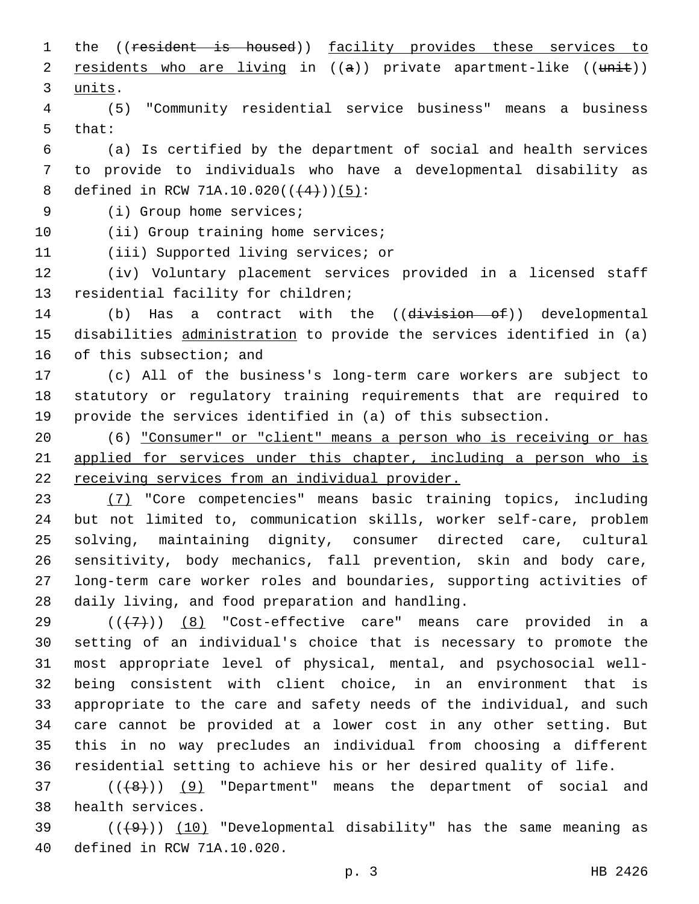1 the ((resident is housed)) facility provides these services to 2 residents who are living in  $((a))$  private apartment-like  $((unit))$ 3 units.

4 (5) "Community residential service business" means a business 5 that:

6 (a) Is certified by the department of social and health services 7 to provide to individuals who have a developmental disability as 8 defined in RCW 71A.10.020( $($  $(4)$ )) $(5)$ :

9 (i) Group home services;

10 (ii) Group training home services;

11 (iii) Supported living services; or

12 (iv) Voluntary placement services provided in a licensed staff 13 residential facility for children;

14 (b) Has a contract with the ((division of)) developmental 15 disabilities administration to provide the services identified in (a) 16 of this subsection; and

17 (c) All of the business's long-term care workers are subject to 18 statutory or regulatory training requirements that are required to 19 provide the services identified in (a) of this subsection.

20 (6) "Consumer" or "client" means a person who is receiving or has 21 applied for services under this chapter, including a person who is 22 receiving services from an individual provider.

 (7) "Core competencies" means basic training topics, including but not limited to, communication skills, worker self-care, problem solving, maintaining dignity, consumer directed care, cultural sensitivity, body mechanics, fall prevention, skin and body care, long-term care worker roles and boundaries, supporting activities of 28 daily living, and food preparation and handling.

 ( $(\overline{+7})$ ) (8) "Cost-effective care" means care provided in a setting of an individual's choice that is necessary to promote the most appropriate level of physical, mental, and psychosocial well- being consistent with client choice, in an environment that is appropriate to the care and safety needs of the individual, and such care cannot be provided at a lower cost in any other setting. But this in no way precludes an individual from choosing a different residential setting to achieve his or her desired quality of life.

37 (( $(48)$ )) (9) "Department" means the department of social and 38 health services.

39  $((+9))$  (10) "Developmental disability" has the same meaning as 40 defined in RCW 71A.10.020.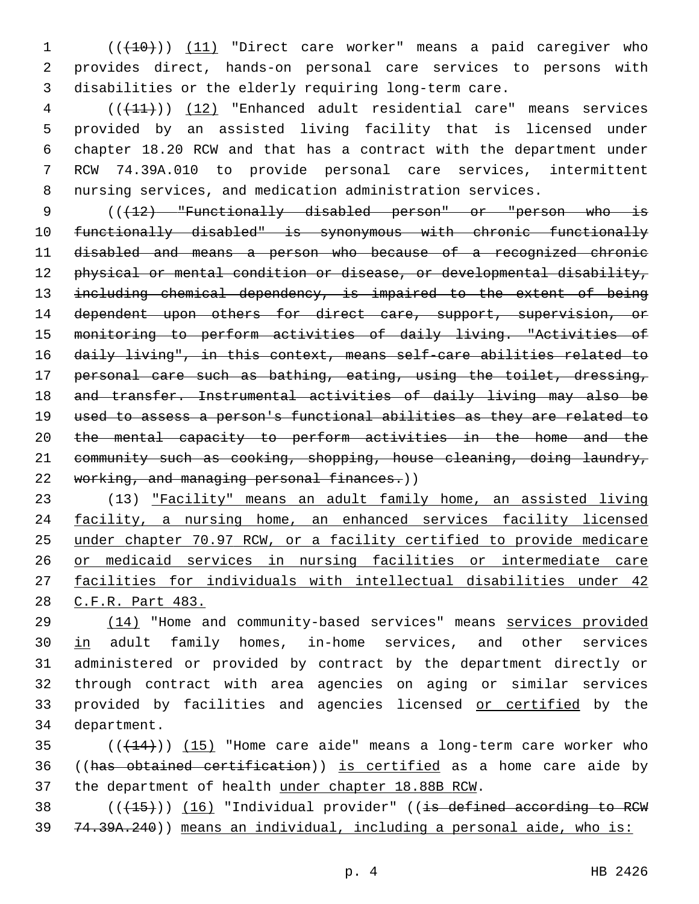1 (( $(10)$ ) (11) "Direct care worker" means a paid caregiver who provides direct, hands-on personal care services to persons with disabilities or the elderly requiring long-term care.

 (((11))) (12) "Enhanced adult residential care" means services provided by an assisted living facility that is licensed under chapter 18.20 RCW and that has a contract with the department under RCW 74.39A.010 to provide personal care services, intermittent nursing services, and medication administration services.

9 (( $\{12\}$  "Functionally disabled person" or "person who is functionally disabled" is synonymous with chronic functionally disabled and means a person who because of a recognized chronic 12 physical or mental condition or disease, or developmental disability, including chemical dependency, is impaired to the extent of being 14 dependent upon others for direct care, support, supervision, or monitoring to perform activities of daily living. "Activities of daily living", in this context, means self-care abilities related to personal care such as bathing, eating, using the toilet, dressing, and transfer. Instrumental activities of daily living may also be used to assess a person's functional abilities as they are related to the mental capacity to perform activities in the home and the community such as cooking, shopping, house cleaning, doing laundry, 22 working, and managing personal finances.))

 (13) "Facility" means an adult family home, an assisted living facility, a nursing home, an enhanced services facility licensed under chapter 70.97 RCW, or a facility certified to provide medicare or medicaid services in nursing facilities or intermediate care facilities for individuals with intellectual disabilities under 42 C.F.R. Part 483.

 (14) "Home and community-based services" means services provided 30 in adult family homes, in-home services, and other services administered or provided by contract by the department directly or through contract with area agencies on aging or similar services 33 provided by facilities and agencies licensed or certified by the 34 department.

 ( $(\overline{+14})$ )  $(15)$  "Home care aide" means a long-term care worker who ((has obtained certification)) is certified as a home care aide by the department of health under chapter 18.88B RCW.

38 (((+15))) (16) "Individual provider" ((is defined according to RCW 74.39A.240)) means an individual, including a personal aide, who is: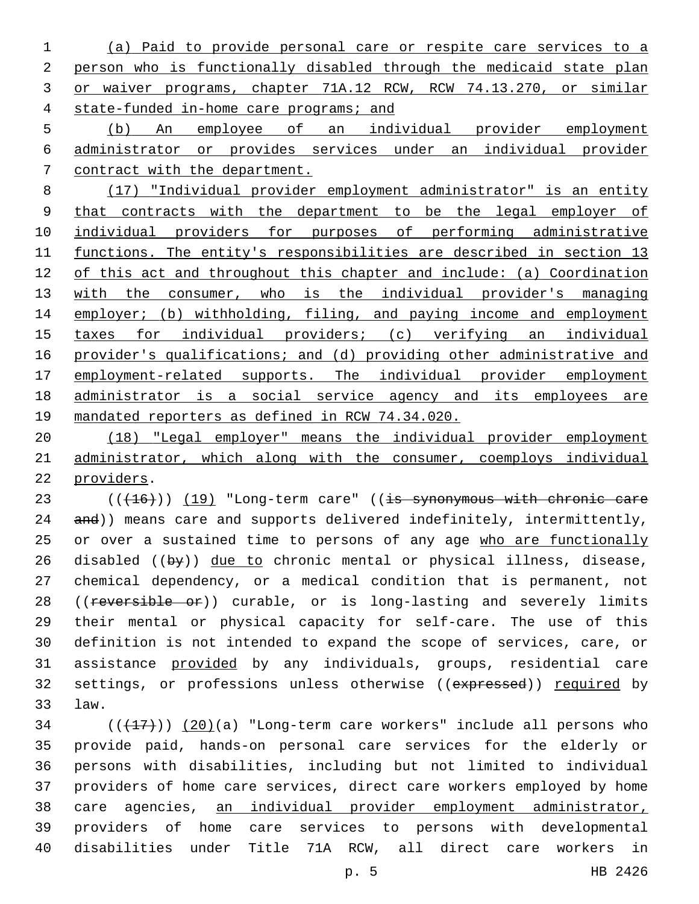(a) Paid to provide personal care or respite care services to a person who is functionally disabled through the medicaid state plan or waiver programs, chapter 71A.12 RCW, RCW 74.13.270, or similar state-funded in-home care programs; and

 (b) An employee of an individual provider employment administrator or provides services under an individual provider contract with the department.

 (17) "Individual provider employment administrator" is an entity that contracts with the department to be the legal employer of individual providers for purposes of performing administrative functions. The entity's responsibilities are described in section 13 of this act and throughout this chapter and include: (a) Coordination 13 with the consumer, who is the individual provider's managing 14 employer; (b) withholding, filing, and paying income and employment taxes for individual providers; (c) verifying an individual provider's qualifications; and (d) providing other administrative and 17 employment-related supports. The individual provider employment administrator is a social service agency and its employees are mandated reporters as defined in RCW 74.34.020.

 (18) "Legal employer" means the individual provider employment administrator, which along with the consumer, coemploys individual 22 providers.

23 (((+16))) (19) "Long-term care" ((is synonymous with chronic care 24 and)) means care and supports delivered indefinitely, intermittently, 25 or over a sustained time to persons of any age who are functionally 26 disabled ( $(byy)$ ) due to chronic mental or physical illness, disease, chemical dependency, or a medical condition that is permanent, not 28 ((reversible or)) curable, or is long-lasting and severely limits their mental or physical capacity for self-care. The use of this definition is not intended to expand the scope of services, care, or assistance provided by any individuals, groups, residential care 32 settings, or professions unless otherwise ((expressed)) required by law.33

 $(1,17)$  ( $(17)$ )) (20)(a) "Long-term care workers" include all persons who provide paid, hands-on personal care services for the elderly or persons with disabilities, including but not limited to individual providers of home care services, direct care workers employed by home care agencies, an individual provider employment administrator, providers of home care services to persons with developmental disabilities under Title 71A RCW, all direct care workers in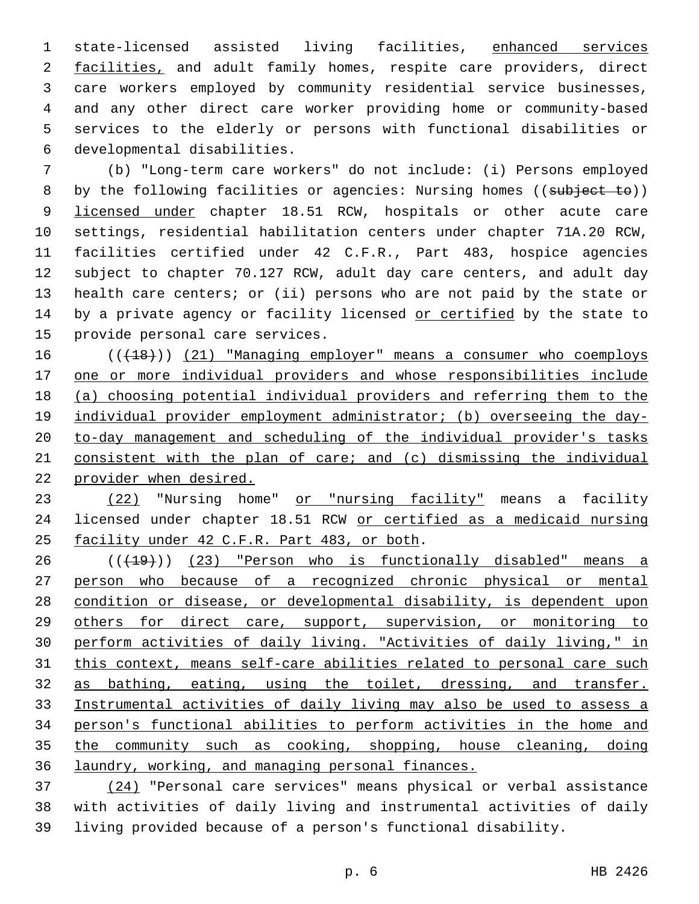state-licensed assisted living facilities, enhanced services 2 facilities, and adult family homes, respite care providers, direct care workers employed by community residential service businesses, and any other direct care worker providing home or community-based services to the elderly or persons with functional disabilities or developmental disabilities.6

 (b) "Long-term care workers" do not include: (i) Persons employed 8 by the following facilities or agencies: Nursing homes ((subject to)) 9 licensed under chapter 18.51 RCW, hospitals or other acute care settings, residential habilitation centers under chapter 71A.20 RCW, facilities certified under 42 C.F.R., Part 483, hospice agencies subject to chapter 70.127 RCW, adult day care centers, and adult day health care centers; or (ii) persons who are not paid by the state or 14 by a private agency or facility licensed or certified by the state to 15 provide personal care services.

16 (( $(18)$ )) (21) "Managing employer" means a consumer who coemploys one or more individual providers and whose responsibilities include (a) choosing potential individual providers and referring them to the 19 individual provider employment administrator; (b) overseeing the day- to-day management and scheduling of the individual provider's tasks consistent with the plan of care; and (c) dismissing the individual provider when desired.

23 (22) "Nursing home" or "nursing facility" means a facility licensed under chapter 18.51 RCW or certified as a medicaid nursing 25 facility under 42 C.F.R. Part 483, or both.

26 (( $(19)$ ) (23) "Person who is functionally disabled" means a person who because of a recognized chronic physical or mental condition or disease, or developmental disability, is dependent upon others for direct care, support, supervision, or monitoring to perform activities of daily living. "Activities of daily living," in this context, means self-care abilities related to personal care such as bathing, eating, using the toilet, dressing, and transfer. Instrumental activities of daily living may also be used to assess a person's functional abilities to perform activities in the home and the community such as cooking, shopping, house cleaning, doing laundry, working, and managing personal finances.

 (24) "Personal care services" means physical or verbal assistance with activities of daily living and instrumental activities of daily living provided because of a person's functional disability.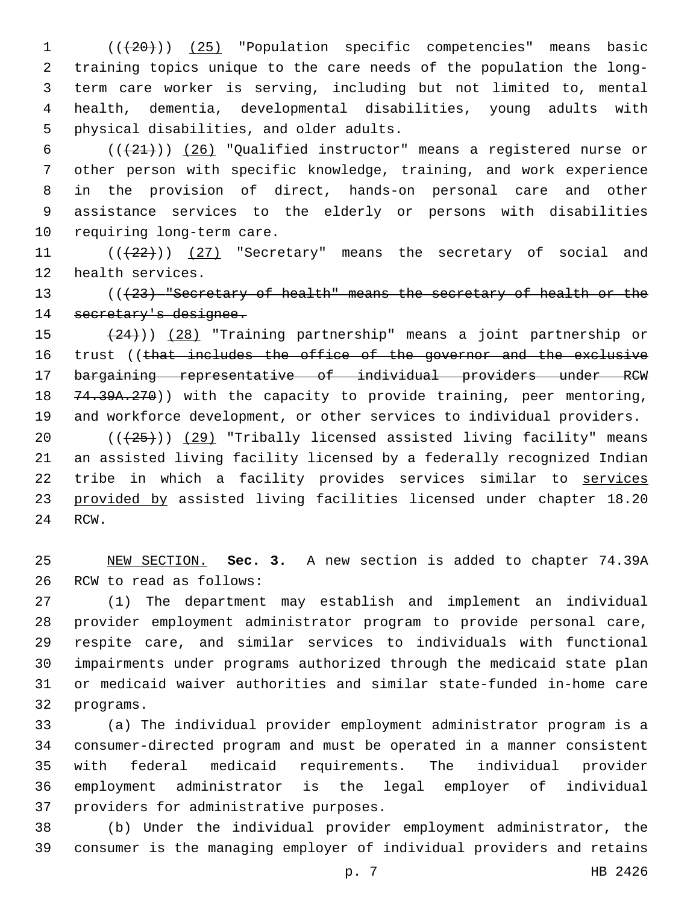(((20))) (25) "Population specific competencies" means basic training topics unique to the care needs of the population the long- term care worker is serving, including but not limited to, mental health, dementia, developmental disabilities, young adults with 5 physical disabilities, and older adults.

 $((+21+))$   $(26)$  "Qualified instructor" means a registered nurse or other person with specific knowledge, training, and work experience in the provision of direct, hands-on personal care and other assistance services to the elderly or persons with disabilities 10 requiring long-term care.

11 (( $(22)$ )) (27) "Secretary" means the secretary of social and 12 health services.

13 (( $(23)$  "Secretary of health" means the secretary of health or the secretary's designee.

 (24))) (28) "Training partnership" means a joint partnership or 16 trust ((that includes the office of the governor and the exclusive bargaining representative of individual providers under RCW 18 74.39A.270)) with the capacity to provide training, peer mentoring, and workforce development, or other services to individual providers.

20 (( $\left(\frac{25}{1}\right)$ ) (29) "Tribally licensed assisted living facility" means an assisted living facility licensed by a federally recognized Indian tribe in which a facility provides services similar to services provided by assisted living facilities licensed under chapter 18.20 24 RCW.

 NEW SECTION. **Sec. 3.** A new section is added to chapter 74.39A 26 RCW to read as follows:

 (1) The department may establish and implement an individual provider employment administrator program to provide personal care, respite care, and similar services to individuals with functional impairments under programs authorized through the medicaid state plan or medicaid waiver authorities and similar state-funded in-home care 32 programs.

 (a) The individual provider employment administrator program is a consumer-directed program and must be operated in a manner consistent with federal medicaid requirements. The individual provider employment administrator is the legal employer of individual 37 providers for administrative purposes.

 (b) Under the individual provider employment administrator, the consumer is the managing employer of individual providers and retains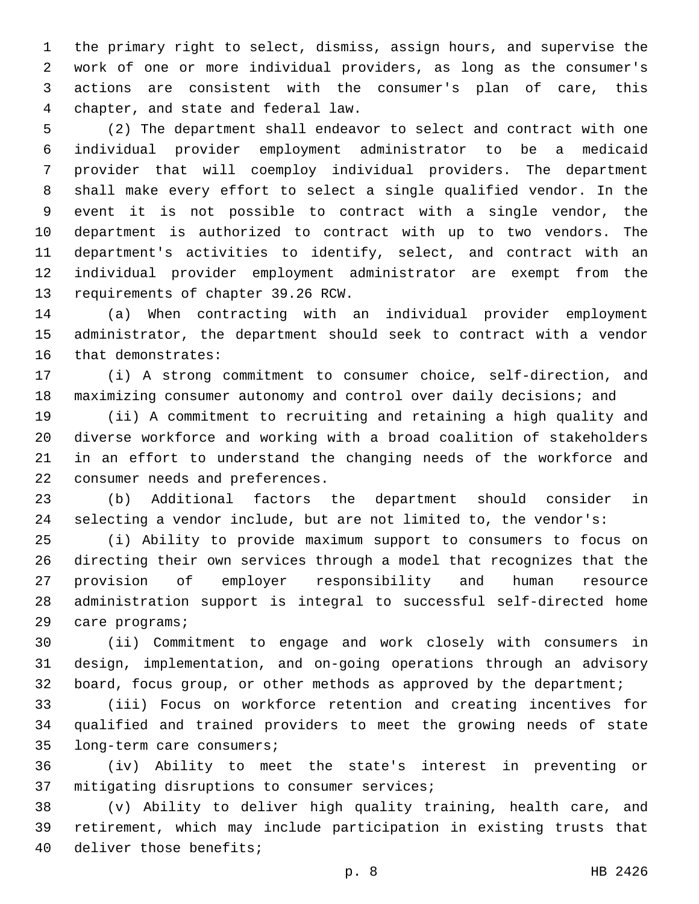the primary right to select, dismiss, assign hours, and supervise the work of one or more individual providers, as long as the consumer's actions are consistent with the consumer's plan of care, this chapter, and state and federal law.

 (2) The department shall endeavor to select and contract with one individual provider employment administrator to be a medicaid provider that will coemploy individual providers. The department shall make every effort to select a single qualified vendor. In the event it is not possible to contract with a single vendor, the department is authorized to contract with up to two vendors. The department's activities to identify, select, and contract with an individual provider employment administrator are exempt from the 13 requirements of chapter 39.26 RCW.

 (a) When contracting with an individual provider employment administrator, the department should seek to contract with a vendor 16 that demonstrates:

 (i) A strong commitment to consumer choice, self-direction, and maximizing consumer autonomy and control over daily decisions; and

 (ii) A commitment to recruiting and retaining a high quality and diverse workforce and working with a broad coalition of stakeholders in an effort to understand the changing needs of the workforce and 22 consumer needs and preferences.

 (b) Additional factors the department should consider in selecting a vendor include, but are not limited to, the vendor's:

 (i) Ability to provide maximum support to consumers to focus on directing their own services through a model that recognizes that the provision of employer responsibility and human resource administration support is integral to successful self-directed home 29 care programs;

 (ii) Commitment to engage and work closely with consumers in design, implementation, and on-going operations through an advisory board, focus group, or other methods as approved by the department;

 (iii) Focus on workforce retention and creating incentives for qualified and trained providers to meet the growing needs of state 35 long-term care consumers;

 (iv) Ability to meet the state's interest in preventing or 37 mitigating disruptions to consumer services;

 (v) Ability to deliver high quality training, health care, and retirement, which may include participation in existing trusts that 40 deliver those benefits;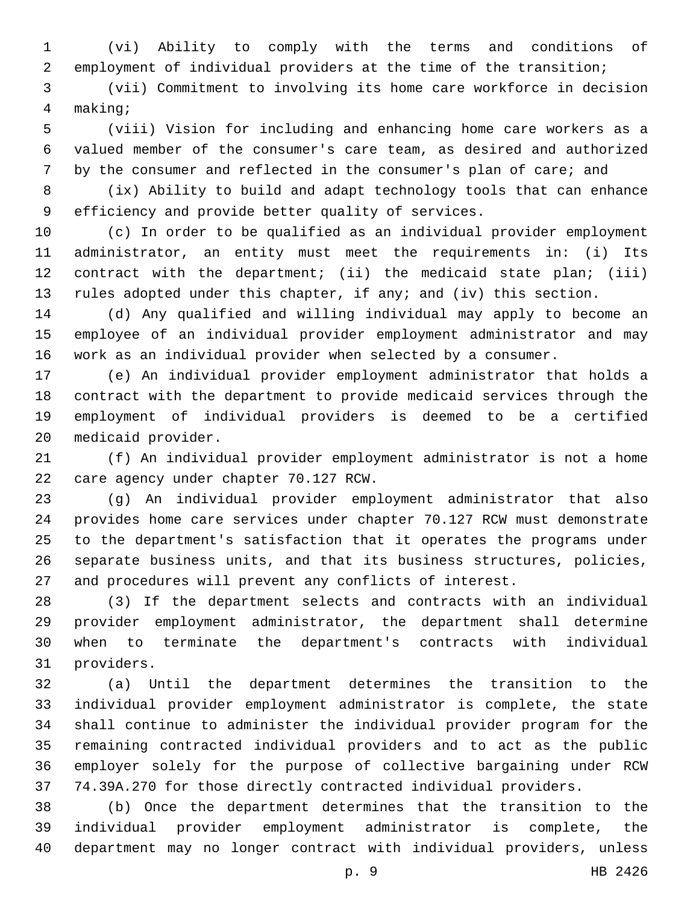(vi) Ability to comply with the terms and conditions of employment of individual providers at the time of the transition;

 (vii) Commitment to involving its home care workforce in decision making;4

 (viii) Vision for including and enhancing home care workers as a valued member of the consumer's care team, as desired and authorized by the consumer and reflected in the consumer's plan of care; and

 (ix) Ability to build and adapt technology tools that can enhance 9 efficiency and provide better quality of services.

 (c) In order to be qualified as an individual provider employment administrator, an entity must meet the requirements in: (i) Its contract with the department; (ii) the medicaid state plan; (iii) rules adopted under this chapter, if any; and (iv) this section.

 (d) Any qualified and willing individual may apply to become an employee of an individual provider employment administrator and may work as an individual provider when selected by a consumer.

 (e) An individual provider employment administrator that holds a contract with the department to provide medicaid services through the employment of individual providers is deemed to be a certified 20 medicaid provider.

 (f) An individual provider employment administrator is not a home 22 care agency under chapter 70.127 RCW.

 (g) An individual provider employment administrator that also provides home care services under chapter 70.127 RCW must demonstrate to the department's satisfaction that it operates the programs under separate business units, and that its business structures, policies, and procedures will prevent any conflicts of interest.

 (3) If the department selects and contracts with an individual provider employment administrator, the department shall determine when to terminate the department's contracts with individual 31 providers.

 (a) Until the department determines the transition to the individual provider employment administrator is complete, the state shall continue to administer the individual provider program for the remaining contracted individual providers and to act as the public employer solely for the purpose of collective bargaining under RCW 74.39A.270 for those directly contracted individual providers.

 (b) Once the department determines that the transition to the individual provider employment administrator is complete, the department may no longer contract with individual providers, unless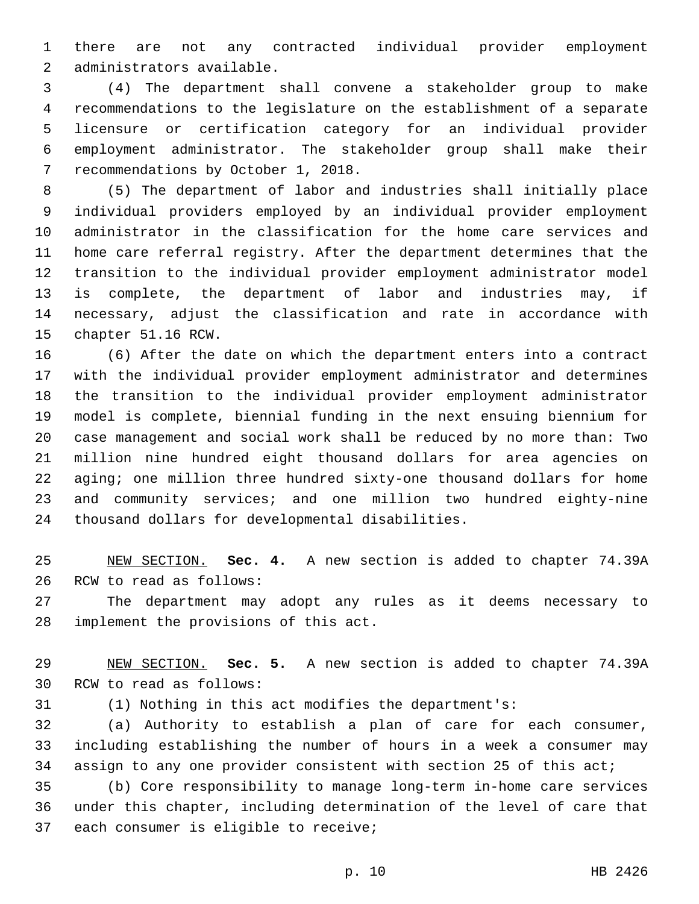there are not any contracted individual provider employment 2 administrators available.

 (4) The department shall convene a stakeholder group to make recommendations to the legislature on the establishment of a separate licensure or certification category for an individual provider employment administrator. The stakeholder group shall make their 7 recommendations by October 1, 2018.

 (5) The department of labor and industries shall initially place individual providers employed by an individual provider employment administrator in the classification for the home care services and home care referral registry. After the department determines that the transition to the individual provider employment administrator model is complete, the department of labor and industries may, if necessary, adjust the classification and rate in accordance with 15 chapter 51.16 RCW.

 (6) After the date on which the department enters into a contract with the individual provider employment administrator and determines the transition to the individual provider employment administrator model is complete, biennial funding in the next ensuing biennium for case management and social work shall be reduced by no more than: Two million nine hundred eight thousand dollars for area agencies on aging; one million three hundred sixty-one thousand dollars for home and community services; and one million two hundred eighty-nine 24 thousand dollars for developmental disabilities.

 NEW SECTION. **Sec. 4.** A new section is added to chapter 74.39A 26 RCW to read as follows:

 The department may adopt any rules as it deems necessary to 28 implement the provisions of this act.

 NEW SECTION. **Sec. 5.** A new section is added to chapter 74.39A 30 RCW to read as follows:

(1) Nothing in this act modifies the department's:

 (a) Authority to establish a plan of care for each consumer, including establishing the number of hours in a week a consumer may assign to any one provider consistent with section 25 of this act;

 (b) Core responsibility to manage long-term in-home care services under this chapter, including determination of the level of care that 37 each consumer is eligible to receive;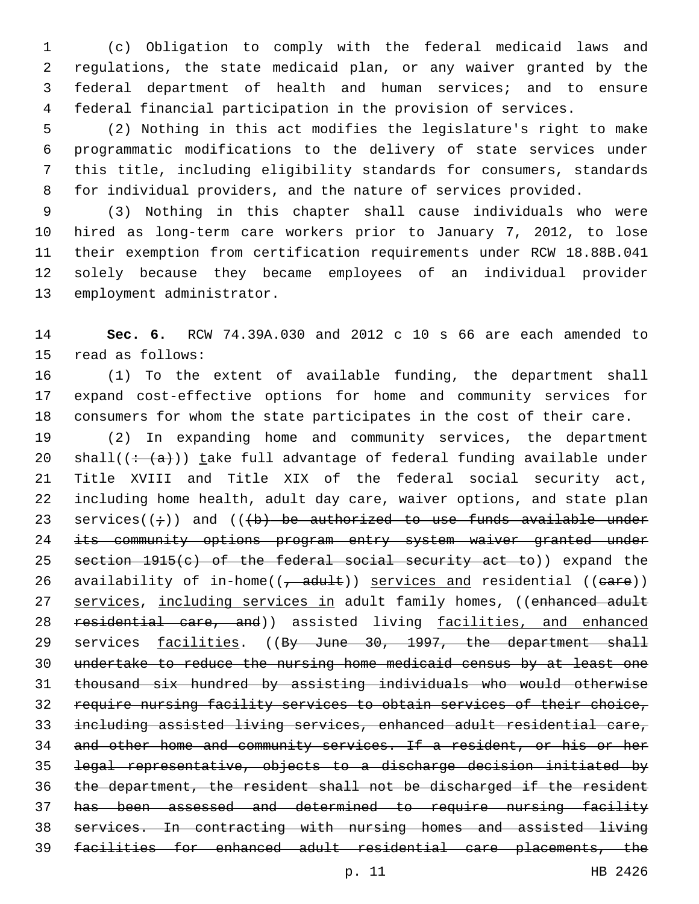(c) Obligation to comply with the federal medicaid laws and regulations, the state medicaid plan, or any waiver granted by the federal department of health and human services; and to ensure federal financial participation in the provision of services.

 (2) Nothing in this act modifies the legislature's right to make programmatic modifications to the delivery of state services under this title, including eligibility standards for consumers, standards for individual providers, and the nature of services provided.

 (3) Nothing in this chapter shall cause individuals who were hired as long-term care workers prior to January 7, 2012, to lose their exemption from certification requirements under RCW 18.88B.041 solely because they became employees of an individual provider 13 employment administrator.

 **Sec. 6.** RCW 74.39A.030 and 2012 c 10 s 66 are each amended to 15 read as follows:

 (1) To the extent of available funding, the department shall expand cost-effective options for home and community services for consumers for whom the state participates in the cost of their care.

 (2) In expanding home and community services, the department 20 shall( $\left(\div(a)\right)$ ) take full advantage of federal funding available under Title XVIII and Title XIX of the federal social security act, including home health, adult day care, waiver options, and state plan 23 services( $(\div)$ ) and ( $(\div)$  be authorized to use funds available under 24 its community options program entry system waiver granted under 25 section 1915(c) of the federal social security act to)) expand the 26 availability of in-home( $(-$ adult)) services and residential ((eare)) 27 services, including services in adult family homes, ((enhanced adult 28 residential care, and)) assisted living facilities, and enhanced 29 services facilities. ((By June 30, 1997, the department shall undertake to reduce the nursing home medicaid census by at least one thousand six hundred by assisting individuals who would otherwise require nursing facility services to obtain services of their choice, including assisted living services, enhanced adult residential care, and other home and community services. If a resident, or his or her legal representative, objects to a discharge decision initiated by the department, the resident shall not be discharged if the resident has been assessed and determined to require nursing facility services. In contracting with nursing homes and assisted living facilities for enhanced adult residential care placements, the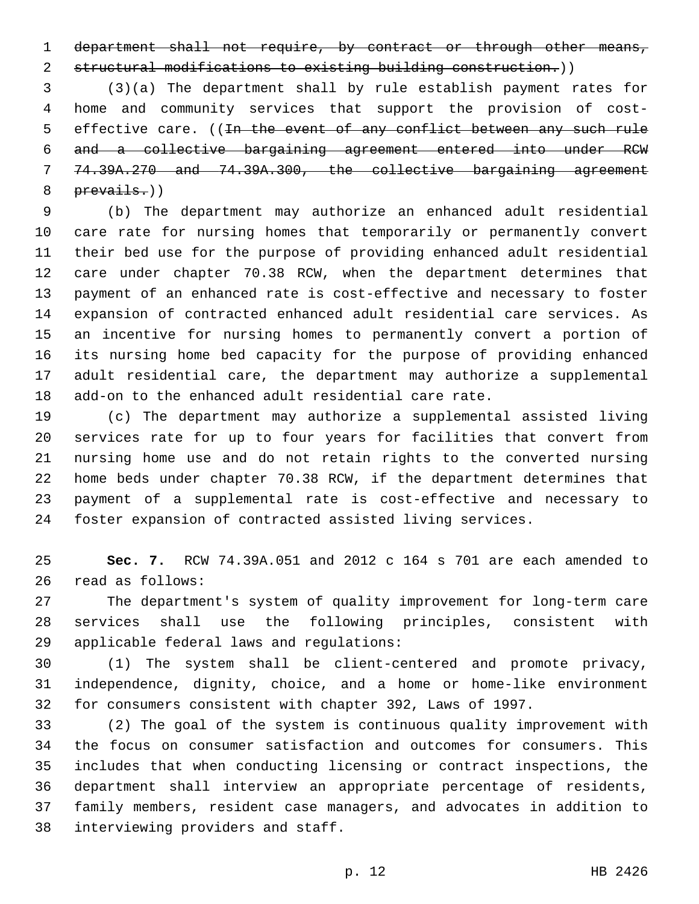1 department shall not require, by contract or through other means,

structural modifications to existing building construction.))

 (3)(a) The department shall by rule establish payment rates for home and community services that support the provision of cost-5 effective care. ((In the event of any conflict between any such rule and a collective bargaining agreement entered into under RCW 74.39A.270 and 74.39A.300, the collective bargaining agreement prevails.))

 (b) The department may authorize an enhanced adult residential care rate for nursing homes that temporarily or permanently convert their bed use for the purpose of providing enhanced adult residential care under chapter 70.38 RCW, when the department determines that payment of an enhanced rate is cost-effective and necessary to foster expansion of contracted enhanced adult residential care services. As an incentive for nursing homes to permanently convert a portion of its nursing home bed capacity for the purpose of providing enhanced adult residential care, the department may authorize a supplemental add-on to the enhanced adult residential care rate.

 (c) The department may authorize a supplemental assisted living services rate for up to four years for facilities that convert from nursing home use and do not retain rights to the converted nursing home beds under chapter 70.38 RCW, if the department determines that payment of a supplemental rate is cost-effective and necessary to foster expansion of contracted assisted living services.

 **Sec. 7.** RCW 74.39A.051 and 2012 c 164 s 701 are each amended to 26 read as follows:

 The department's system of quality improvement for long-term care services shall use the following principles, consistent with 29 applicable federal laws and regulations:

 (1) The system shall be client-centered and promote privacy, independence, dignity, choice, and a home or home-like environment for consumers consistent with chapter 392, Laws of 1997.

 (2) The goal of the system is continuous quality improvement with the focus on consumer satisfaction and outcomes for consumers. This includes that when conducting licensing or contract inspections, the department shall interview an appropriate percentage of residents, family members, resident case managers, and advocates in addition to 38 interviewing providers and staff.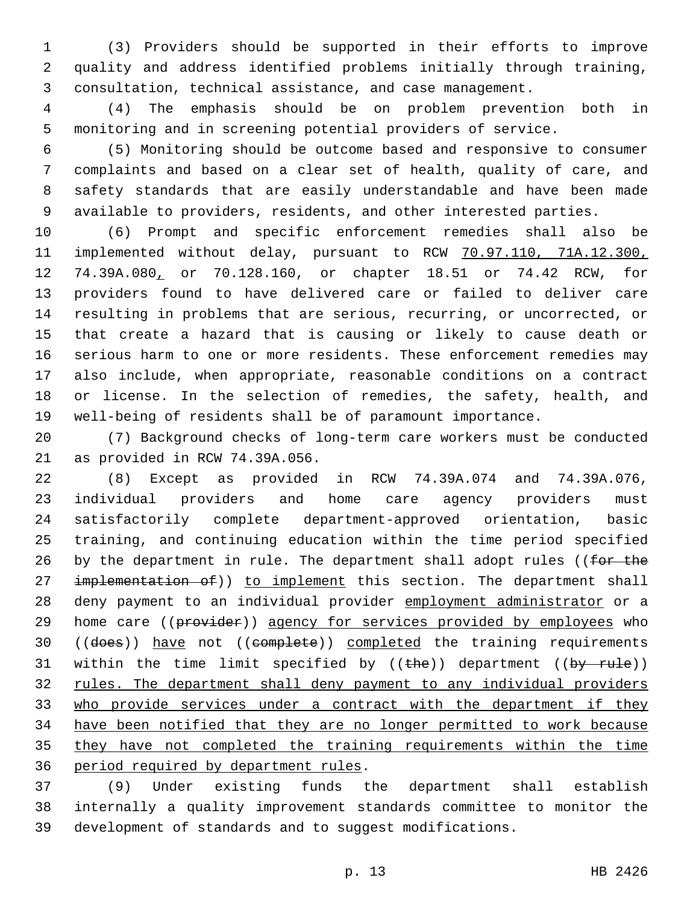(3) Providers should be supported in their efforts to improve quality and address identified problems initially through training, consultation, technical assistance, and case management.

 (4) The emphasis should be on problem prevention both in monitoring and in screening potential providers of service.

 (5) Monitoring should be outcome based and responsive to consumer complaints and based on a clear set of health, quality of care, and safety standards that are easily understandable and have been made available to providers, residents, and other interested parties.

 (6) Prompt and specific enforcement remedies shall also be implemented without delay, pursuant to RCW 70.97.110, 71A.12.300, 74.39A.080, or 70.128.160, or chapter 18.51 or 74.42 RCW, for providers found to have delivered care or failed to deliver care resulting in problems that are serious, recurring, or uncorrected, or that create a hazard that is causing or likely to cause death or serious harm to one or more residents. These enforcement remedies may also include, when appropriate, reasonable conditions on a contract or license. In the selection of remedies, the safety, health, and well-being of residents shall be of paramount importance.

 (7) Background checks of long-term care workers must be conducted 21 as provided in RCW 74.39A.056.

 (8) Except as provided in RCW 74.39A.074 and 74.39A.076, individual providers and home care agency providers must satisfactorily complete department-approved orientation, basic training, and continuing education within the time period specified 26 by the department in rule. The department shall adopt rules ((for the 27 implementation of)) to implement this section. The department shall deny payment to an individual provider employment administrator or a 29 home care ((provider)) agency for services provided by employees who 30 ((does)) have not ((complete)) completed the training requirements 31 within the time limit specified by  $((the + b)$  department  $((by - rule))$  rules. The department shall deny payment to any individual providers who provide services under a contract with the department if they have been notified that they are no longer permitted to work because they have not completed the training requirements within the time 36 period required by department rules.

 (9) Under existing funds the department shall establish internally a quality improvement standards committee to monitor the development of standards and to suggest modifications.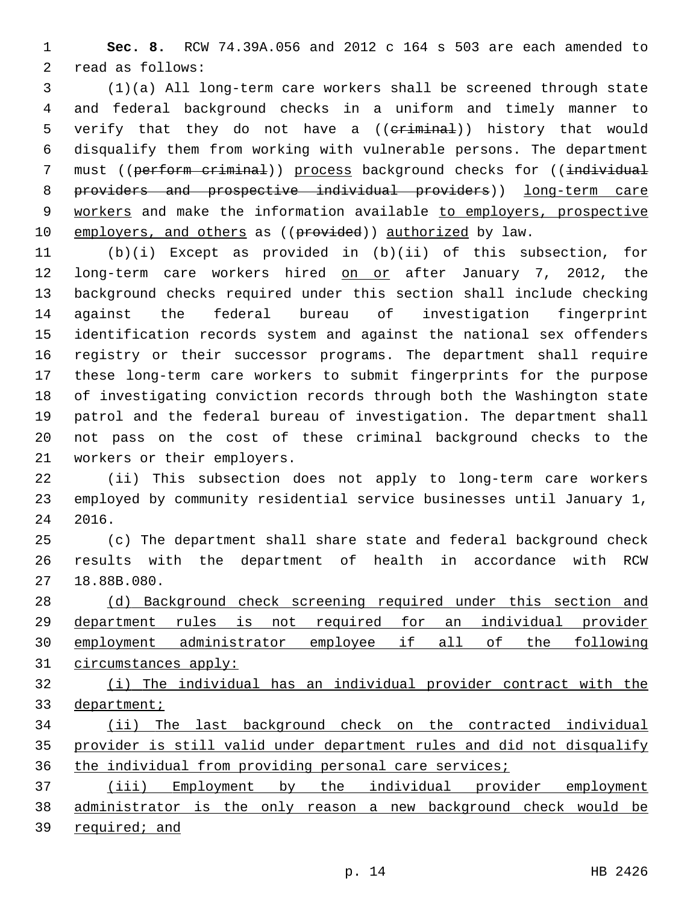**Sec. 8.** RCW 74.39A.056 and 2012 c 164 s 503 are each amended to 2 read as follows:

 (1)(a) All long-term care workers shall be screened through state and federal background checks in a uniform and timely manner to 5 verify that they do not have a ((eriminal)) history that would disqualify them from working with vulnerable persons. The department 7 must ((perform criminal)) process background checks for ((individual providers and prospective individual providers)) long-term care 9 workers and make the information available to employers, prospective 10 employers, and others as ((provided)) authorized by law.

 (b)(i) Except as provided in (b)(ii) of this subsection, for 12 long-term care workers hired on or after January 7, 2012, the background checks required under this section shall include checking against the federal bureau of investigation fingerprint identification records system and against the national sex offenders registry or their successor programs. The department shall require these long-term care workers to submit fingerprints for the purpose of investigating conviction records through both the Washington state patrol and the federal bureau of investigation. The department shall not pass on the cost of these criminal background checks to the 21 workers or their employers.

 (ii) This subsection does not apply to long-term care workers employed by community residential service businesses until January 1, 2016.

 (c) The department shall share state and federal background check results with the department of health in accordance with RCW 27 18.88B.080.

 (d) Background check screening required under this section and department rules is not required for an individual provider employment administrator employee if all of the following circumstances apply:

 (i) The individual has an individual provider contract with the department;

 (ii) The last background check on the contracted individual provider is still valid under department rules and did not disqualify 36 the individual from providing personal care services;

 (iii) Employment by the individual provider employment 38 administrator is the only reason a new background check would be required; and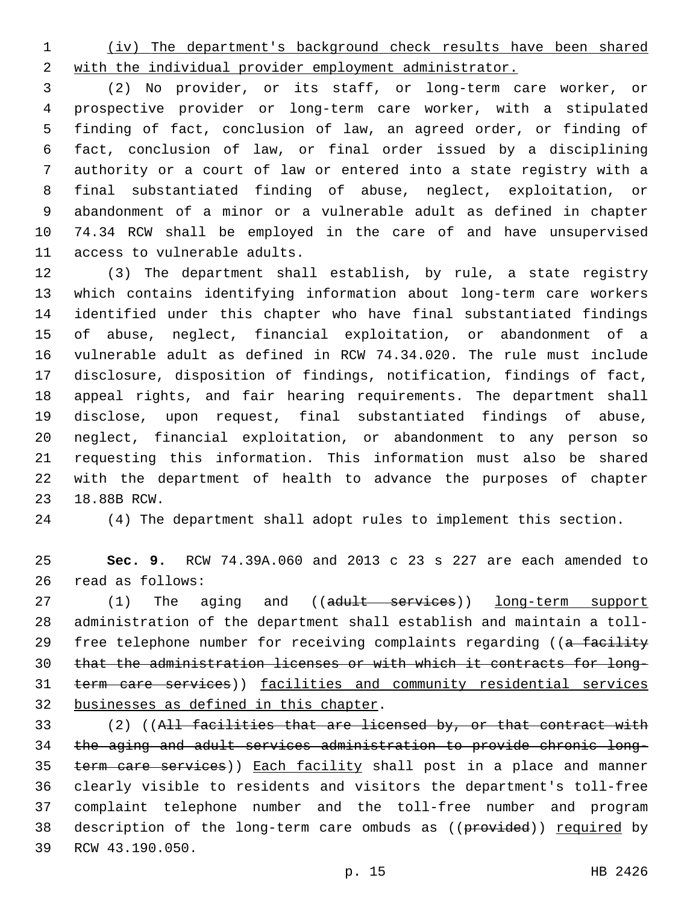(iv) The department's background check results have been shared with the individual provider employment administrator.

 (2) No provider, or its staff, or long-term care worker, or prospective provider or long-term care worker, with a stipulated finding of fact, conclusion of law, an agreed order, or finding of fact, conclusion of law, or final order issued by a disciplining authority or a court of law or entered into a state registry with a final substantiated finding of abuse, neglect, exploitation, or abandonment of a minor or a vulnerable adult as defined in chapter 74.34 RCW shall be employed in the care of and have unsupervised 11 access to vulnerable adults.

 (3) The department shall establish, by rule, a state registry which contains identifying information about long-term care workers identified under this chapter who have final substantiated findings of abuse, neglect, financial exploitation, or abandonment of a vulnerable adult as defined in RCW 74.34.020. The rule must include disclosure, disposition of findings, notification, findings of fact, appeal rights, and fair hearing requirements. The department shall disclose, upon request, final substantiated findings of abuse, neglect, financial exploitation, or abandonment to any person so requesting this information. This information must also be shared with the department of health to advance the purposes of chapter 23 18.88B RCW.

(4) The department shall adopt rules to implement this section.

 **Sec. 9.** RCW 74.39A.060 and 2013 c 23 s 227 are each amended to read as follows:26

27 (1) The aging and ((adult services)) long-term support administration of the department shall establish and maintain a toll-29 free telephone number for receiving complaints regarding ((a facility that the administration licenses or with which it contracts for long- term care services)) facilities and community residential services 32 businesses as defined in this chapter.

 (2) ((All facilities that are licensed by, or that contract with the aging and adult services administration to provide chronic long-35 term care services)) Each facility shall post in a place and manner clearly visible to residents and visitors the department's toll-free complaint telephone number and the toll-free number and program 38 description of the long-term care ombuds as ((provided)) required by 39 RCW 43.190.050.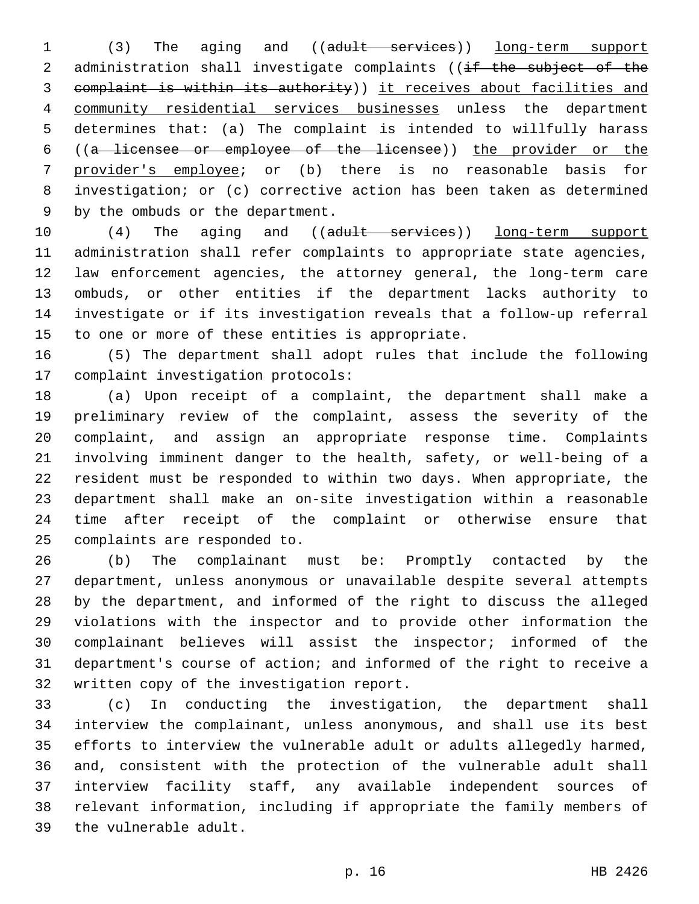(3) The aging and ((adult services)) long-term support 2 administration shall investigate complaints ((if the subject of the complaint is within its authority)) it receives about facilities and community residential services businesses unless the department determines that: (a) The complaint is intended to willfully harass ((a licensee or employee of the licensee)) the provider or the provider's employee; or (b) there is no reasonable basis for investigation; or (c) corrective action has been taken as determined 9 by the ombuds or the department.

10 (4) The aging and ((adult services)) long-term support administration shall refer complaints to appropriate state agencies, law enforcement agencies, the attorney general, the long-term care ombuds, or other entities if the department lacks authority to investigate or if its investigation reveals that a follow-up referral 15 to one or more of these entities is appropriate.

 (5) The department shall adopt rules that include the following 17 complaint investigation protocols:

 (a) Upon receipt of a complaint, the department shall make a preliminary review of the complaint, assess the severity of the complaint, and assign an appropriate response time. Complaints involving imminent danger to the health, safety, or well-being of a resident must be responded to within two days. When appropriate, the department shall make an on-site investigation within a reasonable time after receipt of the complaint or otherwise ensure that 25 complaints are responded to.

 (b) The complainant must be: Promptly contacted by the department, unless anonymous or unavailable despite several attempts by the department, and informed of the right to discuss the alleged violations with the inspector and to provide other information the complainant believes will assist the inspector; informed of the department's course of action; and informed of the right to receive a 32 written copy of the investigation report.

 (c) In conducting the investigation, the department shall interview the complainant, unless anonymous, and shall use its best efforts to interview the vulnerable adult or adults allegedly harmed, and, consistent with the protection of the vulnerable adult shall interview facility staff, any available independent sources of relevant information, including if appropriate the family members of 39 the vulnerable adult.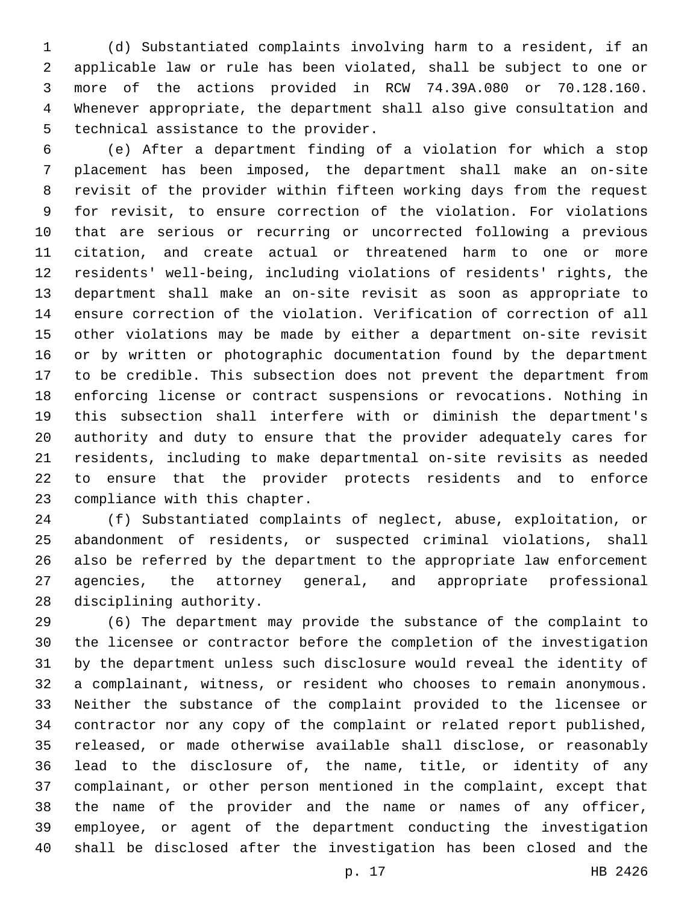(d) Substantiated complaints involving harm to a resident, if an applicable law or rule has been violated, shall be subject to one or more of the actions provided in RCW 74.39A.080 or 70.128.160. Whenever appropriate, the department shall also give consultation and 5 technical assistance to the provider.

 (e) After a department finding of a violation for which a stop placement has been imposed, the department shall make an on-site revisit of the provider within fifteen working days from the request for revisit, to ensure correction of the violation. For violations that are serious or recurring or uncorrected following a previous citation, and create actual or threatened harm to one or more residents' well-being, including violations of residents' rights, the department shall make an on-site revisit as soon as appropriate to ensure correction of the violation. Verification of correction of all other violations may be made by either a department on-site revisit or by written or photographic documentation found by the department to be credible. This subsection does not prevent the department from enforcing license or contract suspensions or revocations. Nothing in this subsection shall interfere with or diminish the department's authority and duty to ensure that the provider adequately cares for residents, including to make departmental on-site revisits as needed to ensure that the provider protects residents and to enforce 23 compliance with this chapter.

 (f) Substantiated complaints of neglect, abuse, exploitation, or abandonment of residents, or suspected criminal violations, shall also be referred by the department to the appropriate law enforcement agencies, the attorney general, and appropriate professional 28 disciplining authority.

 (6) The department may provide the substance of the complaint to the licensee or contractor before the completion of the investigation by the department unless such disclosure would reveal the identity of a complainant, witness, or resident who chooses to remain anonymous. Neither the substance of the complaint provided to the licensee or contractor nor any copy of the complaint or related report published, released, or made otherwise available shall disclose, or reasonably lead to the disclosure of, the name, title, or identity of any complainant, or other person mentioned in the complaint, except that the name of the provider and the name or names of any officer, employee, or agent of the department conducting the investigation shall be disclosed after the investigation has been closed and the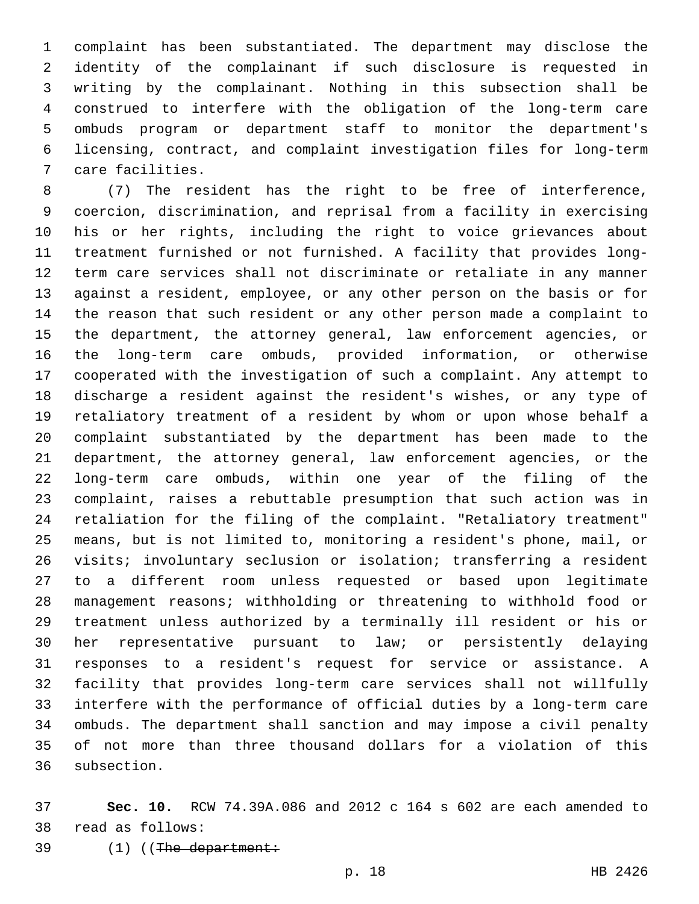complaint has been substantiated. The department may disclose the identity of the complainant if such disclosure is requested in writing by the complainant. Nothing in this subsection shall be construed to interfere with the obligation of the long-term care ombuds program or department staff to monitor the department's licensing, contract, and complaint investigation files for long-term 7 care facilities.

 (7) The resident has the right to be free of interference, coercion, discrimination, and reprisal from a facility in exercising his or her rights, including the right to voice grievances about treatment furnished or not furnished. A facility that provides long- term care services shall not discriminate or retaliate in any manner against a resident, employee, or any other person on the basis or for the reason that such resident or any other person made a complaint to the department, the attorney general, law enforcement agencies, or the long-term care ombuds, provided information, or otherwise cooperated with the investigation of such a complaint. Any attempt to discharge a resident against the resident's wishes, or any type of retaliatory treatment of a resident by whom or upon whose behalf a complaint substantiated by the department has been made to the department, the attorney general, law enforcement agencies, or the long-term care ombuds, within one year of the filing of the complaint, raises a rebuttable presumption that such action was in retaliation for the filing of the complaint. "Retaliatory treatment" means, but is not limited to, monitoring a resident's phone, mail, or visits; involuntary seclusion or isolation; transferring a resident to a different room unless requested or based upon legitimate management reasons; withholding or threatening to withhold food or treatment unless authorized by a terminally ill resident or his or her representative pursuant to law; or persistently delaying responses to a resident's request for service or assistance. A facility that provides long-term care services shall not willfully interfere with the performance of official duties by a long-term care ombuds. The department shall sanction and may impose a civil penalty of not more than three thousand dollars for a violation of this 36 subsection.

 **Sec. 10.** RCW 74.39A.086 and 2012 c 164 s 602 are each amended to read as follows:38

39 (1) ((The department: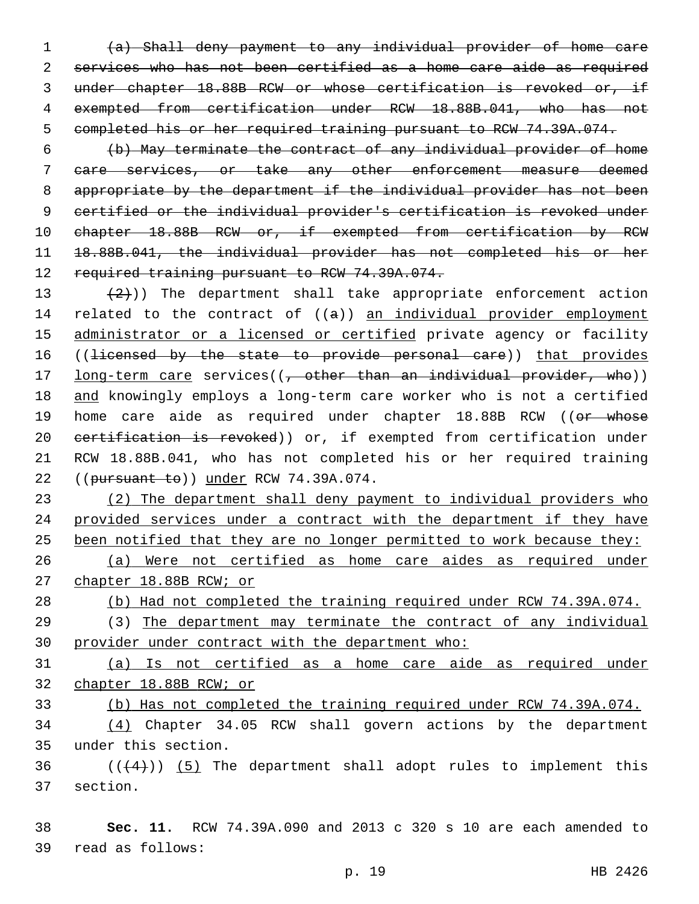(a) Shall deny payment to any individual provider of home care services who has not been certified as a home care aide as required under chapter 18.88B RCW or whose certification is revoked or, if exempted from certification under RCW 18.88B.041, who has not completed his or her required training pursuant to RCW 74.39A.074.

 (b) May terminate the contract of any individual provider of home care services, or take any other enforcement measure deemed appropriate by the department if the individual provider has not been certified or the individual provider's certification is revoked under 10 chapter 18.88B RCW or, if exempted from certification by RCW 18.88B.041, the individual provider has not completed his or her 12 required training pursuant to RCW 74.39A.074.

13  $(2)$ )) The department shall take appropriate enforcement action 14 related to the contract of  $((a))$  an individual provider employment 15 administrator or a licensed or certified private agency or facility 16 ((licensed by the state to provide personal care)) that provides 17 long-term care services((, other than an individual provider, who)) 18 and knowingly employs a long-term care worker who is not a certified 19 home care aide as required under chapter 18.88B RCW ((or whose 20 eertification is revoked)) or, if exempted from certification under 21 RCW 18.88B.041, who has not completed his or her required training 22 ((pursuant to)) under RCW 74.39A.074.

 (2) The department shall deny payment to individual providers who provided services under a contract with the department if they have 25 been notified that they are no longer permitted to work because they: (a) Were not certified as home care aides as required under

27 chapter 18.88B RCW; or

28 (b) Had not completed the training required under RCW 74.39A.074.

29 (3) The department may terminate the contract of any individual 30 provider under contract with the department who:

31 (a) Is not certified as a home care aide as required under 32 chapter 18.88B RCW; or

33 (b) Has not completed the training required under RCW 74.39A.074.

34 (4) Chapter 34.05 RCW shall govern actions by the department under this section.35

 $36$  ( $(44)$ )) (5) The department shall adopt rules to implement this 37 section.

38 **Sec. 11.** RCW 74.39A.090 and 2013 c 320 s 10 are each amended to read as follows:39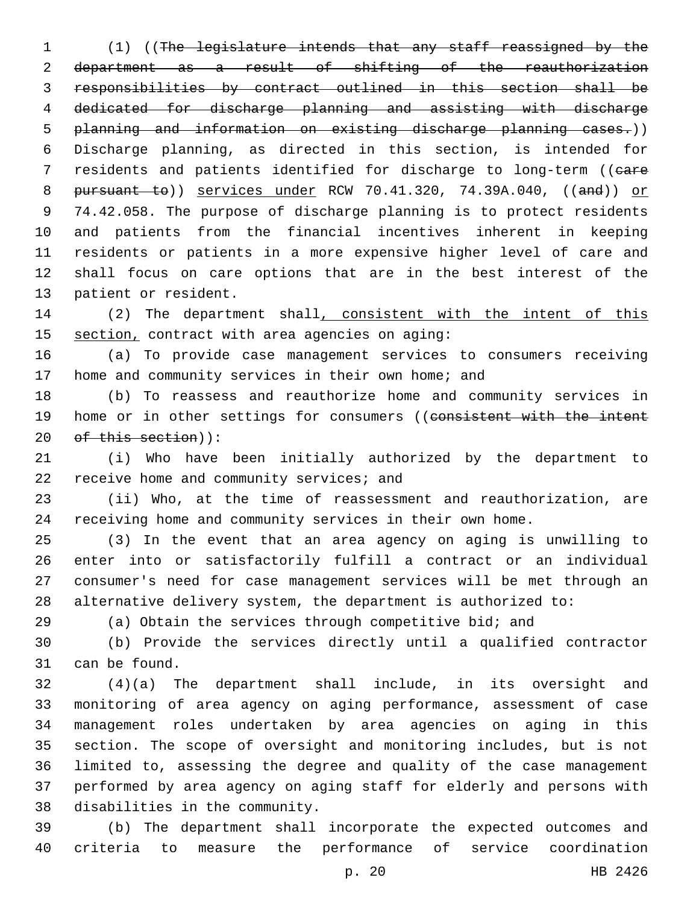(1) ((The legislature intends that any staff reassigned by the department as a result of shifting of the reauthorization responsibilities by contract outlined in this section shall be dedicated for discharge planning and assisting with discharge planning and information on existing discharge planning cases.)) Discharge planning, as directed in this section, is intended for 7 residents and patients identified for discharge to long-term ((eare 8 pursuant to)) services under RCW 70.41.320, 74.39A.040, ((and)) or 74.42.058. The purpose of discharge planning is to protect residents and patients from the financial incentives inherent in keeping residents or patients in a more expensive higher level of care and shall focus on care options that are in the best interest of the 13 patient or resident.

14 (2) The department shall, consistent with the intent of this 15 section, contract with area agencies on aging:

 (a) To provide case management services to consumers receiving 17 home and community services in their own home; and

 (b) To reassess and reauthorize home and community services in 19 home or in other settings for consumers ((consistent with the intent 20 of this section)):

 (i) Who have been initially authorized by the department to 22 receive home and community services; and

 (ii) Who, at the time of reassessment and reauthorization, are receiving home and community services in their own home.

 (3) In the event that an area agency on aging is unwilling to enter into or satisfactorily fulfill a contract or an individual consumer's need for case management services will be met through an alternative delivery system, the department is authorized to:

(a) Obtain the services through competitive bid; and

 (b) Provide the services directly until a qualified contractor 31 can be found.

 (4)(a) The department shall include, in its oversight and monitoring of area agency on aging performance, assessment of case management roles undertaken by area agencies on aging in this section. The scope of oversight and monitoring includes, but is not limited to, assessing the degree and quality of the case management performed by area agency on aging staff for elderly and persons with 38 disabilities in the community.

 (b) The department shall incorporate the expected outcomes and criteria to measure the performance of service coordination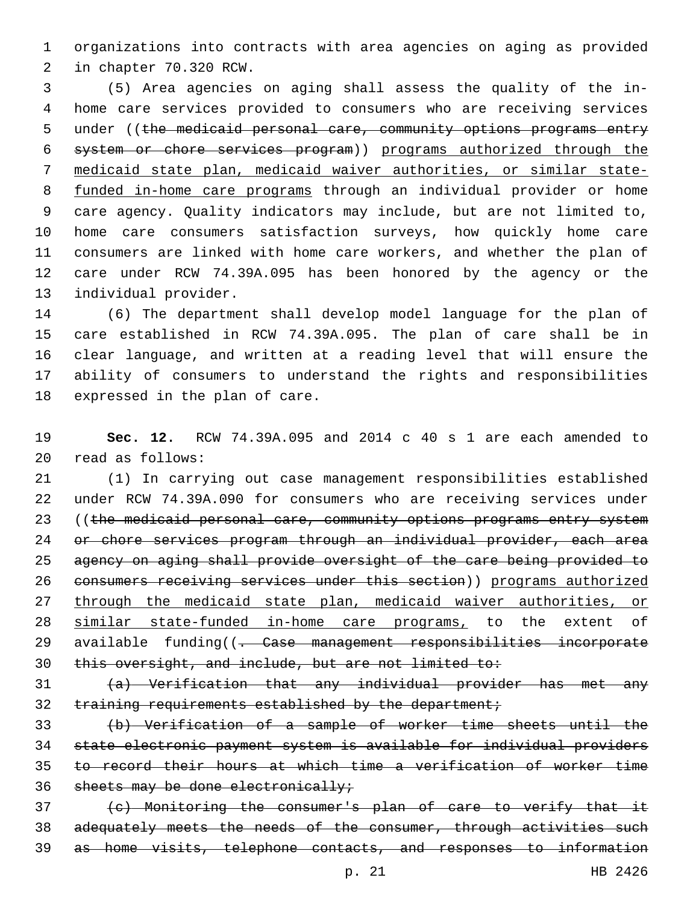organizations into contracts with area agencies on aging as provided 2 in chapter 70.320 RCW.

 (5) Area agencies on aging shall assess the quality of the in- home care services provided to consumers who are receiving services 5 under ((the medicaid personal care, community options programs entry system or chore services program)) programs authorized through the medicaid state plan, medicaid waiver authorities, or similar state- funded in-home care programs through an individual provider or home care agency. Quality indicators may include, but are not limited to, home care consumers satisfaction surveys, how quickly home care consumers are linked with home care workers, and whether the plan of care under RCW 74.39A.095 has been honored by the agency or the 13 individual provider.

 (6) The department shall develop model language for the plan of care established in RCW 74.39A.095. The plan of care shall be in clear language, and written at a reading level that will ensure the ability of consumers to understand the rights and responsibilities 18 expressed in the plan of care.

 **Sec. 12.** RCW 74.39A.095 and 2014 c 40 s 1 are each amended to read as follows:20

 (1) In carrying out case management responsibilities established under RCW 74.39A.090 for consumers who are receiving services under 23 ((the medicaid personal care, community options programs entry system or chore services program through an individual provider, each area agency on aging shall provide oversight of the care being provided to consumers receiving services under this section)) programs authorized through the medicaid state plan, medicaid waiver authorities, or 28 similar state-funded in-home care programs, to the extent of 29 available funding((<del>. Case management responsibilities incorporate</del> this oversight, and include, but are not limited to:

 (a) Verification that any individual provider has met any 32 training requirements established by the department;

 (b) Verification of a sample of worker time sheets until the state electronic payment system is available for individual providers to record their hours at which time a verification of worker time 36 sheets may be done electronically;

 (c) Monitoring the consumer's plan of care to verify that it 38 adequately meets the needs of the consumer, through activities such as home visits, telephone contacts, and responses to information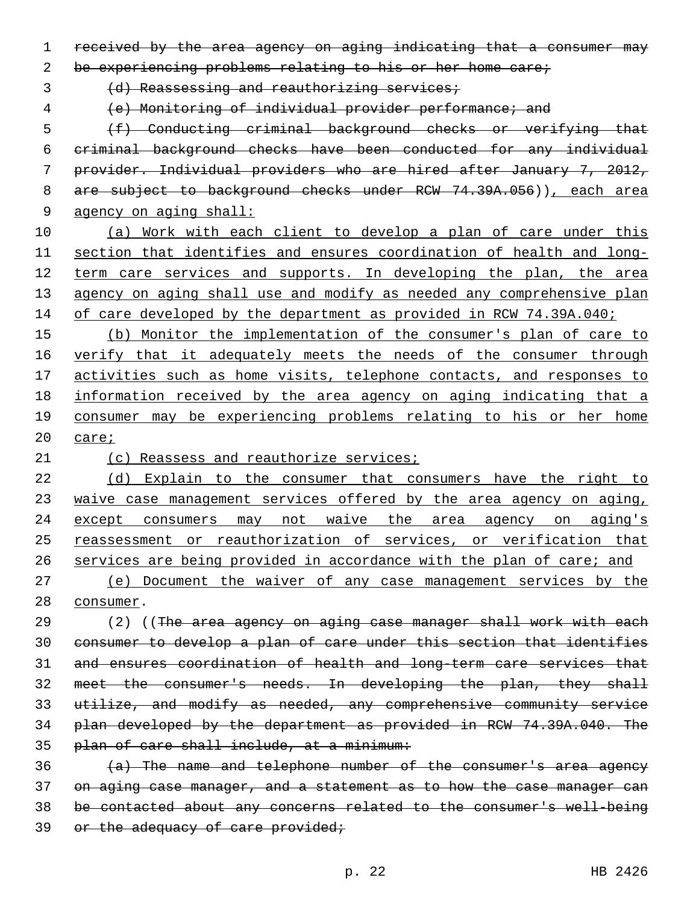received by the area agency on aging indicating that a consumer may

be experiencing problems relating to his or her home care;

3 (d) Reassessing and reauthorizing services;

(e) Monitoring of individual provider performance; and

 (f) Conducting criminal background checks or verifying that criminal background checks have been conducted for any individual provider. Individual providers who are hired after January 7, 2012, 8 are subject to background checks under RCW 74.39A.056)), each area agency on aging shall:

 (a) Work with each client to develop a plan of care under this section that identifies and ensures coordination of health and long-12 term care services and supports. In developing the plan, the area 13 agency on aging shall use and modify as needed any comprehensive plan 14 of care developed by the department as provided in RCW 74.39A.040;

15 (b) Monitor the implementation of the consumer's plan of care to 16 verify that it adequately meets the needs of the consumer through activities such as home visits, telephone contacts, and responses to information received by the area agency on aging indicating that a consumer may be experiencing problems relating to his or her home care;

21 (c) Reassess and reauthorize services;

 (d) Explain to the consumer that consumers have the right to waive case management services offered by the area agency on aging, except consumers may not waive the area agency on aging's reassessment or reauthorization of services, or verification that services are being provided in accordance with the plan of care; and

 (e) Document the waiver of any case management services by the 28 consumer.

29 (2) ((The area agency on aging case manager shall work with each consumer to develop a plan of care under this section that identifies and ensures coordination of health and long-term care services that meet the consumer's needs. In developing the plan, they shall utilize, and modify as needed, any comprehensive community service plan developed by the department as provided in RCW 74.39A.040. The plan of care shall include, at a minimum:

 (a) The name and telephone number of the consumer's area agency on aging case manager, and a statement as to how the case manager can be contacted about any concerns related to the consumer's well-being 39 or the adequacy of care provided;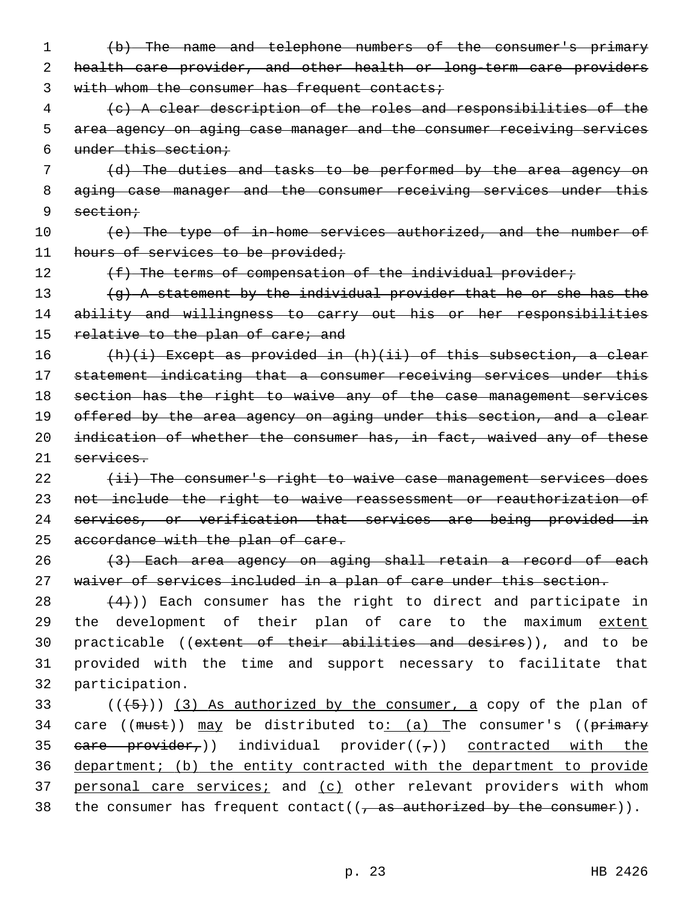- 1 (b) The name and telephone numbers of the consumer's primary 2 health care provider, and other health or long-term care providers 3 with whom the consumer has frequent contacts;
- 4 (c) A clear description of the roles and responsibilities of the 5 area agency on aging case manager and the consumer receiving services 6 under this section;
- 7 (d) The duties and tasks to be performed by the area agency on 8 aging case manager and the consumer receiving services under this 9 section;
- 10 (e) The type of in-home services authorized, and the number of 11 hours of services to be provided;
- 

12 (f) The terms of compensation of the individual provider;

13 (g) A statement by the individual provider that he or she has the 14 ability and willingness to carry out his or her responsibilities 15 relative to the plan of care; and

 (h)(i) Except as provided in (h)(ii) of this subsection, a clear statement indicating that a consumer receiving services under this section has the right to waive any of the case management services 19 offered by the area agency on aging under this section, and a clear 20 indication of whether the consumer has, in fact, waived any of these services.

22 (ii) The consumer's right to waive case management services does 23 not include the right to waive reassessment or reauthorization of 24 services, or verification that services are being provided in 25 accordance with the plan of care.

26 (3) Each area agency on aging shall retain a record of each 27 waiver of services included in a plan of care under this section.

28  $(4)$ )) Each consumer has the right to direct and participate in 29 the development of their plan of care to the maximum extent 30 practicable ((extent of their abilities and desires)), and to be 31 provided with the time and support necessary to facilitate that 32 participation.

 $(1+5+1)$  (3) As authorized by the consumer, a copy of the plan of 34 care (( $must$ ))  $may$  be distributed to: (a) The consumer's (( $primery$ 35 eare provider,)) individual provider( $(\tau)$ ) contracted with the 36 department; (b) the entity contracted with the department to provide 37 personal care services; and (c) other relevant providers with whom 38 the consumer has frequent contact( $(\tau$  as authorized by the consumer)).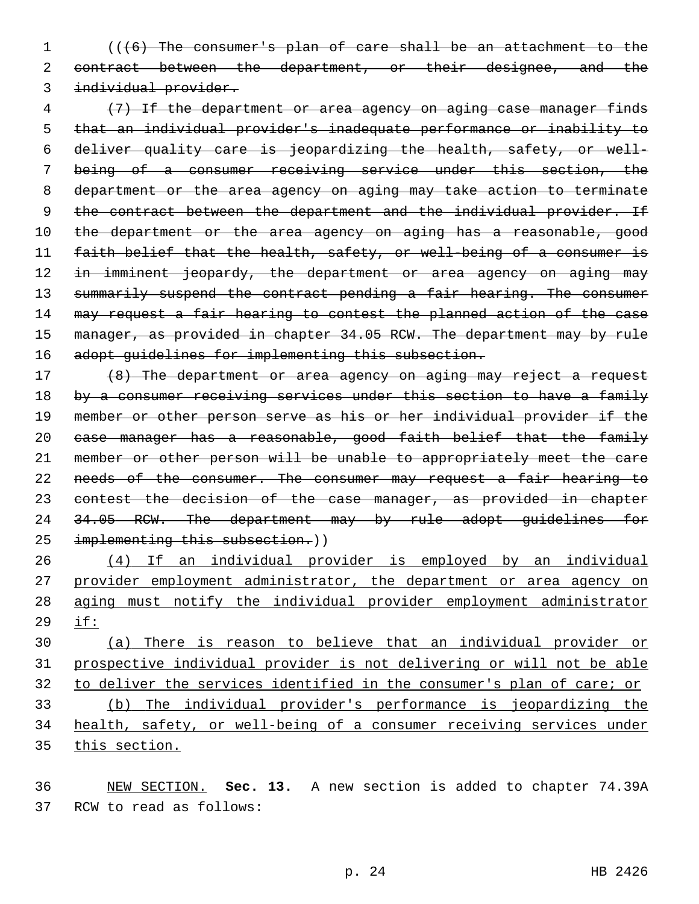(((6) The consumer's plan of care shall be an attachment to the 2 contract between the department, or their designee, and the individual provider.

 (7) If the department or area agency on aging case manager finds that an individual provider's inadequate performance or inability to deliver quality care is jeopardizing the health, safety, or well- being of a consumer receiving service under this section, the department or the area agency on aging may take action to terminate 9 the contract between the department and the individual provider. If 10 the department or the area agency on aging has a reasonable, good faith belief that the health, safety, or well-being of a consumer is 12 in imminent jeopardy, the department or area agency on aging may 13 summarily suspend the contract pending a fair hearing. The consumer 14 may request a fair hearing to contest the planned action of the case 15 manager, as provided in chapter 34.05 RCW. The department may by rule 16 adopt guidelines for implementing this subsection.

 (8) The department or area agency on aging may reject a request 18 by a consumer receiving services under this section to have a family member or other person serve as his or her individual provider if the case manager has a reasonable, good faith belief that the family member or other person will be unable to appropriately meet the care 22 needs of the consumer. The consumer may request a fair hearing to 23 contest the decision of the case manager, as provided in chapter 24 34.05 RCW. The department may by rule adopt guidelines for 25 implementing this subsection.))

 (4) If an individual provider is employed by an individual provider employment administrator, the department or area agency on aging must notify the individual provider employment administrator if:

 (a) There is reason to believe that an individual provider or prospective individual provider is not delivering or will not be able to deliver the services identified in the consumer's plan of care; or (b) The individual provider's performance is jeopardizing the health, safety, or well-being of a consumer receiving services under this section.

 NEW SECTION. **Sec. 13.** A new section is added to chapter 74.39A 37 RCW to read as follows: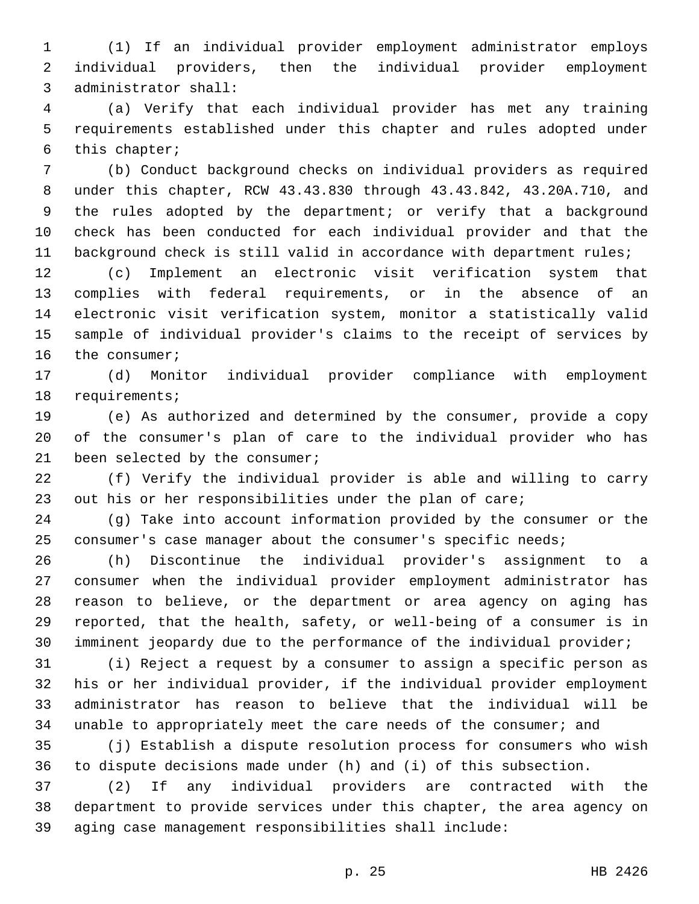(1) If an individual provider employment administrator employs individual providers, then the individual provider employment 3 administrator shall:

 (a) Verify that each individual provider has met any training requirements established under this chapter and rules adopted under 6 this chapter;

 (b) Conduct background checks on individual providers as required under this chapter, RCW 43.43.830 through 43.43.842, 43.20A.710, and the rules adopted by the department; or verify that a background check has been conducted for each individual provider and that the background check is still valid in accordance with department rules;

 (c) Implement an electronic visit verification system that complies with federal requirements, or in the absence of an electronic visit verification system, monitor a statistically valid sample of individual provider's claims to the receipt of services by 16 the consumer;

 (d) Monitor individual provider compliance with employment 18 requirements;

 (e) As authorized and determined by the consumer, provide a copy of the consumer's plan of care to the individual provider who has 21 been selected by the consumer;

 (f) Verify the individual provider is able and willing to carry out his or her responsibilities under the plan of care;

 (g) Take into account information provided by the consumer or the consumer's case manager about the consumer's specific needs;

 (h) Discontinue the individual provider's assignment to a consumer when the individual provider employment administrator has reason to believe, or the department or area agency on aging has reported, that the health, safety, or well-being of a consumer is in imminent jeopardy due to the performance of the individual provider;

 (i) Reject a request by a consumer to assign a specific person as his or her individual provider, if the individual provider employment administrator has reason to believe that the individual will be unable to appropriately meet the care needs of the consumer; and

 (j) Establish a dispute resolution process for consumers who wish to dispute decisions made under (h) and (i) of this subsection.

 (2) If any individual providers are contracted with the department to provide services under this chapter, the area agency on aging case management responsibilities shall include: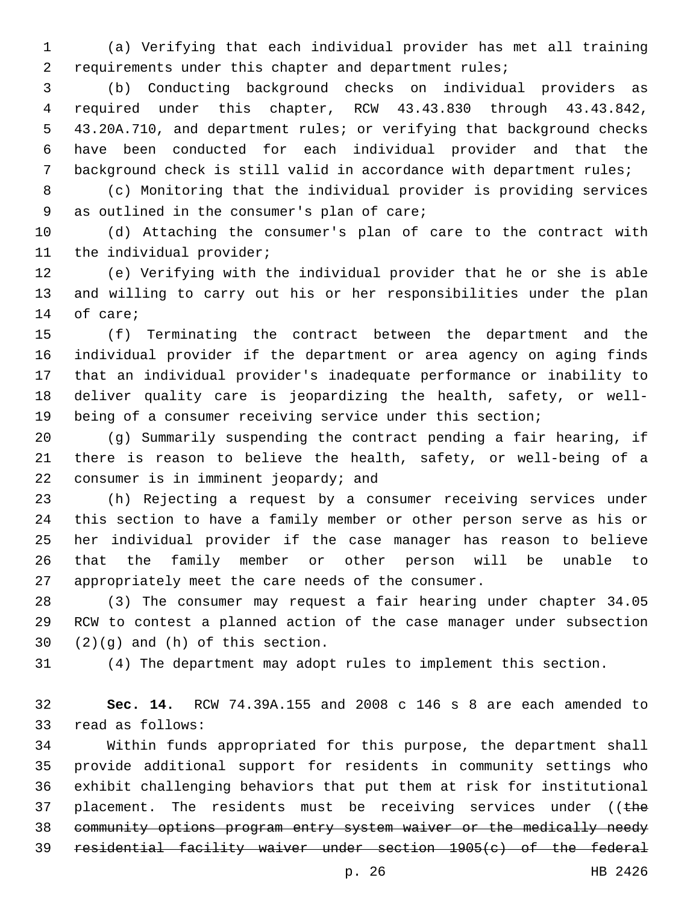(a) Verifying that each individual provider has met all training requirements under this chapter and department rules;

 (b) Conducting background checks on individual providers as required under this chapter, RCW 43.43.830 through 43.43.842, 43.20A.710, and department rules; or verifying that background checks have been conducted for each individual provider and that the background check is still valid in accordance with department rules;

 (c) Monitoring that the individual provider is providing services 9 as outlined in the consumer's plan of care;

 (d) Attaching the consumer's plan of care to the contract with 11 the individual provider;

 (e) Verifying with the individual provider that he or she is able and willing to carry out his or her responsibilities under the plan 14 of care;

 (f) Terminating the contract between the department and the individual provider if the department or area agency on aging finds that an individual provider's inadequate performance or inability to deliver quality care is jeopardizing the health, safety, or well-being of a consumer receiving service under this section;

 (g) Summarily suspending the contract pending a fair hearing, if there is reason to believe the health, safety, or well-being of a 22 consumer is in imminent jeopardy; and

 (h) Rejecting a request by a consumer receiving services under this section to have a family member or other person serve as his or her individual provider if the case manager has reason to believe that the family member or other person will be unable to appropriately meet the care needs of the consumer.

 (3) The consumer may request a fair hearing under chapter 34.05 RCW to contest a planned action of the case manager under subsection  $(2)(g)$  and  $(h)$  of this section.

(4) The department may adopt rules to implement this section.

 **Sec. 14.** RCW 74.39A.155 and 2008 c 146 s 8 are each amended to 33 read as follows:

 Within funds appropriated for this purpose, the department shall provide additional support for residents in community settings who exhibit challenging behaviors that put them at risk for institutional 37 placement. The residents must be receiving services under (( $t$ he community options program entry system waiver or the medically needy residential facility waiver under section 1905(c) of the federal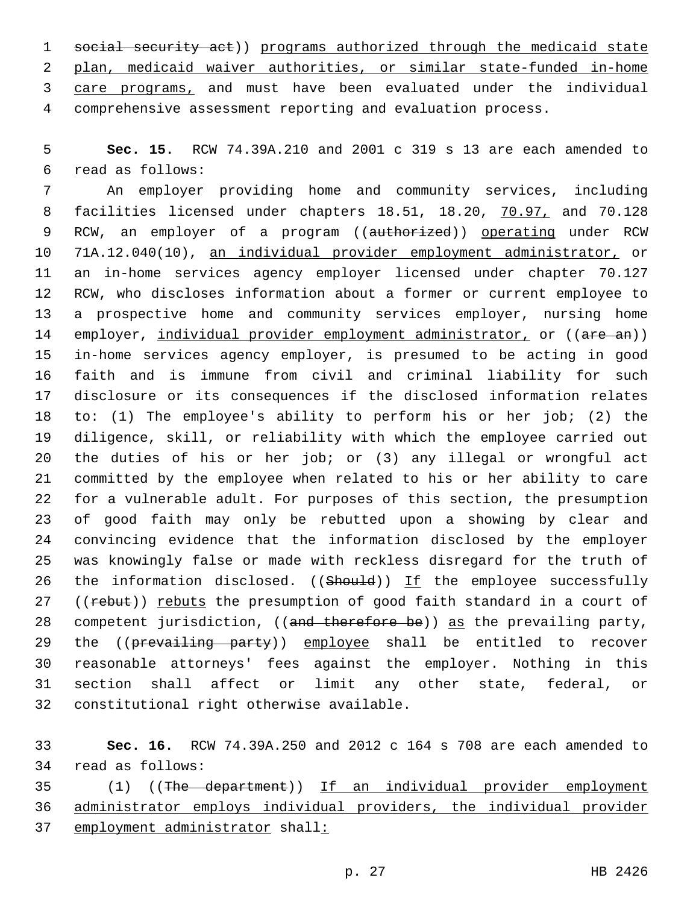1 social security act)) programs authorized through the medicaid state plan, medicaid waiver authorities, or similar state-funded in-home 3 care programs, and must have been evaluated under the individual comprehensive assessment reporting and evaluation process.

 **Sec. 15.** RCW 74.39A.210 and 2001 c 319 s 13 are each amended to read as follows:6

 An employer providing home and community services, including facilities licensed under chapters 18.51, 18.20, 70.97, and 70.128 9 RCW, an employer of a program ((authorized)) operating under RCW 71A.12.040(10), an individual provider employment administrator, or an in-home services agency employer licensed under chapter 70.127 RCW, who discloses information about a former or current employee to a prospective home and community services employer, nursing home 14 employer, individual provider employment administrator, or ((are an)) in-home services agency employer, is presumed to be acting in good faith and is immune from civil and criminal liability for such disclosure or its consequences if the disclosed information relates to: (1) The employee's ability to perform his or her job; (2) the diligence, skill, or reliability with which the employee carried out the duties of his or her job; or (3) any illegal or wrongful act committed by the employee when related to his or her ability to care for a vulnerable adult. For purposes of this section, the presumption of good faith may only be rebutted upon a showing by clear and convincing evidence that the information disclosed by the employer was knowingly false or made with reckless disregard for the truth of 26 the information disclosed. (( $ShouId$ )) If the employee successfully 27 ((rebut)) rebuts the presumption of good faith standard in a court of 28 competent jurisdiction, ((and therefore be)) as the prevailing party, 29 the ((prevailing party)) employee shall be entitled to recover reasonable attorneys' fees against the employer. Nothing in this section shall affect or limit any other state, federal, or 32 constitutional right otherwise available.

 **Sec. 16.** RCW 74.39A.250 and 2012 c 164 s 708 are each amended to 34 read as follows:

 (1) ((The department)) If an individual provider employment administrator employs individual providers, the individual provider employment administrator shall: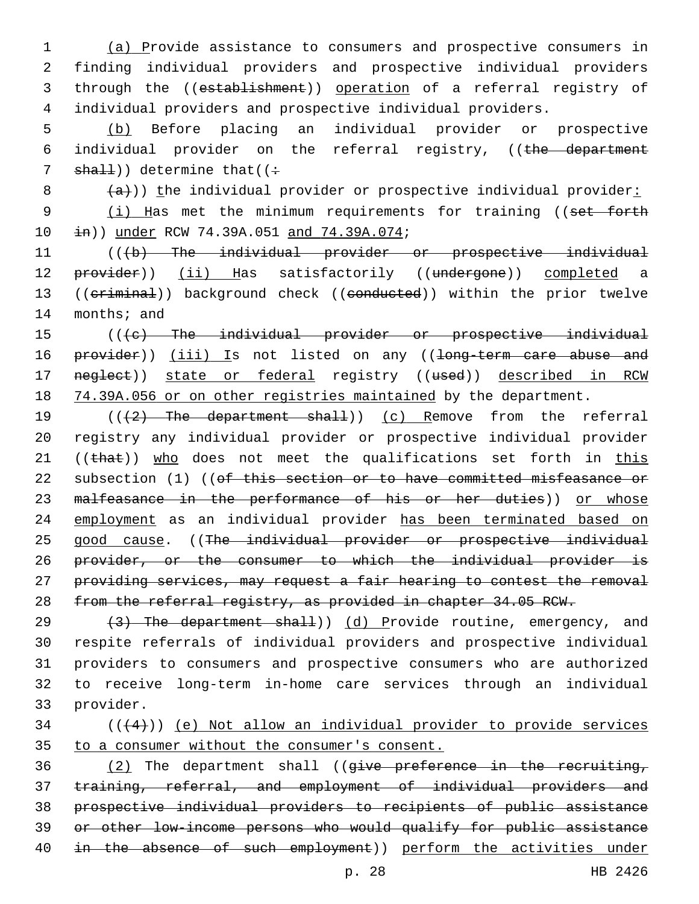(a) Provide assistance to consumers and prospective consumers in finding individual providers and prospective individual providers through the ((establishment)) operation of a referral registry of individual providers and prospective individual providers.

5 (b) Before placing an individual provider or prospective 6 individual provider on the referral registry, ((the department 7  $shall)$ ) determine that((:

 $8$   $\left( \frac{a}{a} \right)$ )) the individual provider or prospective individual provider:

9 (i) Has met the minimum requirements for training ((set forth 10  $\pm$ n)) under RCW 74.39A.051 and 74.39A.074;

11 (((b) The individual provider or prospective individual 12 provider)) (ii) Has satisfactorily ((undergone)) completed a 13 ((criminal)) background check ((conducted)) within the prior twelve 14 months; and

15 (((e) The individual provider or prospective individual 16 provider)) (iii) Is not listed on any ((long-term care abuse and 17 neglect)) state or federal registry ((used)) described in RCW 18 74.39A.056 or on other registries maintained by the department.

19 (((2) The department shall)) (c) Remove from the referral 20 registry any individual provider or prospective individual provider 21 ( $(\text{that})$ ) who does not meet the qualifications set forth in this 22 subsection (1) ((of this section or to have committed misfeasance or 23 malfeasance in the performance of his or her duties)) or whose 24 employment as an individual provider has been terminated based on 25 good cause. ((The individual provider or prospective individual 26 provider, or the consumer to which the individual provider is 27 providing services, may request a fair hearing to contest the removal 28 from the referral registry, as provided in chapter 34.05 RCW.

 $(3)$  The department shall)) (d) Provide routine, emergency, and respite referrals of individual providers and prospective individual providers to consumers and prospective consumers who are authorized to receive long-term in-home care services through an individual 33 provider.

## $34$  ( $(44)$ )) <u>(e) Not allow an individual provider to provide</u> services 35 to a consumer without the consumer's consent.

 (2) The department shall ((give preference in the recruiting, training, referral, and employment of individual providers and prospective individual providers to recipients of public assistance or other low-income persons who would qualify for public assistance 40 in the absence of such employment)) perform the activities under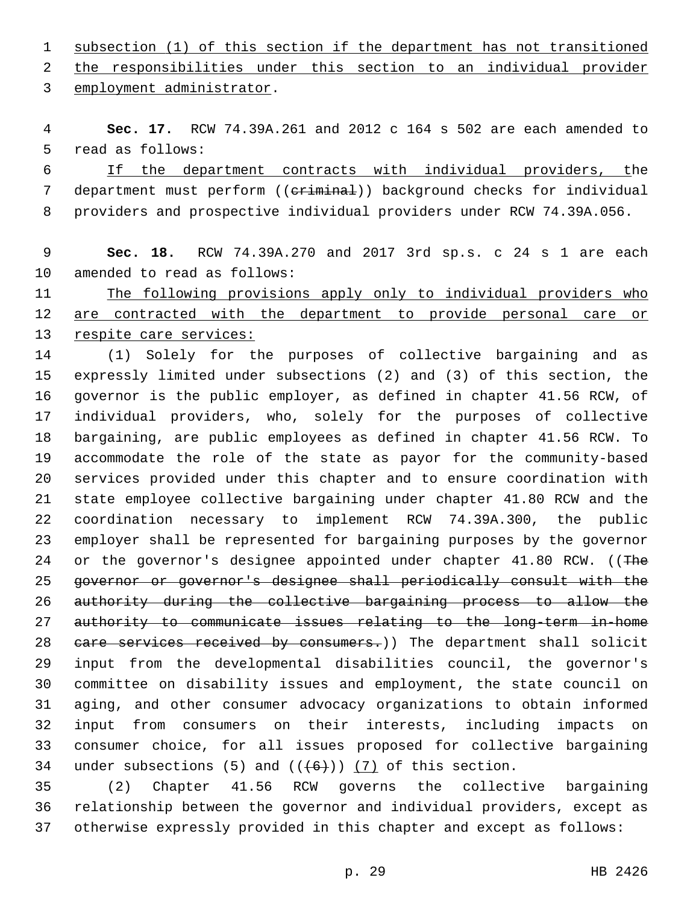subsection (1) of this section if the department has not transitioned 2 the responsibilities under this section to an individual provider

3 employment administrator.

 **Sec. 17.** RCW 74.39A.261 and 2012 c 164 s 502 are each amended to 5 read as follows:

 If the department contracts with individual providers, the 7 department must perform ((criminal)) background checks for individual providers and prospective individual providers under RCW 74.39A.056.

## **Sec. 18.** RCW 74.39A.270 and 2017 3rd sp.s. c 24 s 1 are each 10 amended to read as follows:

 The following provisions apply only to individual providers who 12 are contracted with the department to provide personal care or respite care services:

 (1) Solely for the purposes of collective bargaining and as expressly limited under subsections (2) and (3) of this section, the governor is the public employer, as defined in chapter 41.56 RCW, of individual providers, who, solely for the purposes of collective bargaining, are public employees as defined in chapter 41.56 RCW. To accommodate the role of the state as payor for the community-based services provided under this chapter and to ensure coordination with state employee collective bargaining under chapter 41.80 RCW and the coordination necessary to implement RCW 74.39A.300, the public employer shall be represented for bargaining purposes by the governor 24 or the governor's designee appointed under chapter 41.80 RCW. ((The governor or governor's designee shall periodically consult with the authority during the collective bargaining process to allow the authority to communicate issues relating to the long-term in-home 28 eare services received by consumers.)) The department shall solicit input from the developmental disabilities council, the governor's committee on disability issues and employment, the state council on aging, and other consumer advocacy organizations to obtain informed input from consumers on their interests, including impacts on consumer choice, for all issues proposed for collective bargaining 34 under subsections (5) and  $((+6+))$  (7) of this section.

 (2) Chapter 41.56 RCW governs the collective bargaining relationship between the governor and individual providers, except as otherwise expressly provided in this chapter and except as follows: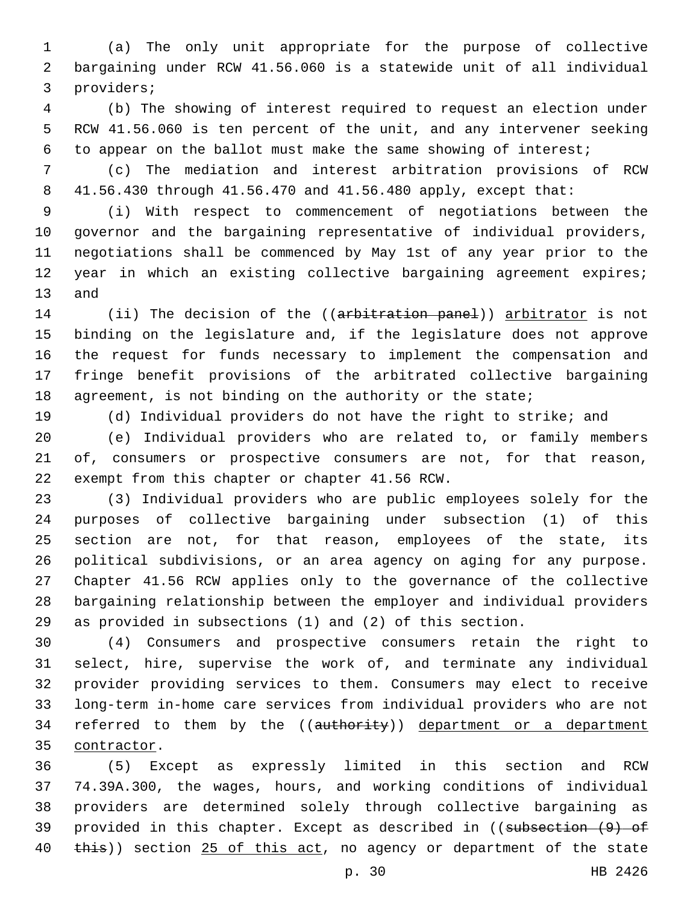(a) The only unit appropriate for the purpose of collective bargaining under RCW 41.56.060 is a statewide unit of all individual 3 providers;

 (b) The showing of interest required to request an election under RCW 41.56.060 is ten percent of the unit, and any intervener seeking to appear on the ballot must make the same showing of interest;

 (c) The mediation and interest arbitration provisions of RCW 41.56.430 through 41.56.470 and 41.56.480 apply, except that:

 (i) With respect to commencement of negotiations between the governor and the bargaining representative of individual providers, negotiations shall be commenced by May 1st of any year prior to the year in which an existing collective bargaining agreement expires; 13 and

14 (ii) The decision of the ((arbitration panel)) arbitrator is not binding on the legislature and, if the legislature does not approve the request for funds necessary to implement the compensation and fringe benefit provisions of the arbitrated collective bargaining 18 agreement, is not binding on the authority or the state;

(d) Individual providers do not have the right to strike; and

 (e) Individual providers who are related to, or family members of, consumers or prospective consumers are not, for that reason, 22 exempt from this chapter or chapter 41.56 RCW.

 (3) Individual providers who are public employees solely for the purposes of collective bargaining under subsection (1) of this section are not, for that reason, employees of the state, its political subdivisions, or an area agency on aging for any purpose. Chapter 41.56 RCW applies only to the governance of the collective bargaining relationship between the employer and individual providers as provided in subsections (1) and (2) of this section.

 (4) Consumers and prospective consumers retain the right to select, hire, supervise the work of, and terminate any individual provider providing services to them. Consumers may elect to receive long-term in-home care services from individual providers who are not 34 referred to them by the ((authority)) department or a department 35 contractor.

 (5) Except as expressly limited in this section and RCW 74.39A.300, the wages, hours, and working conditions of individual providers are determined solely through collective bargaining as 39 provided in this chapter. Except as described in ((subsection (9) of 40 this)) section 25 of this act, no agency or department of the state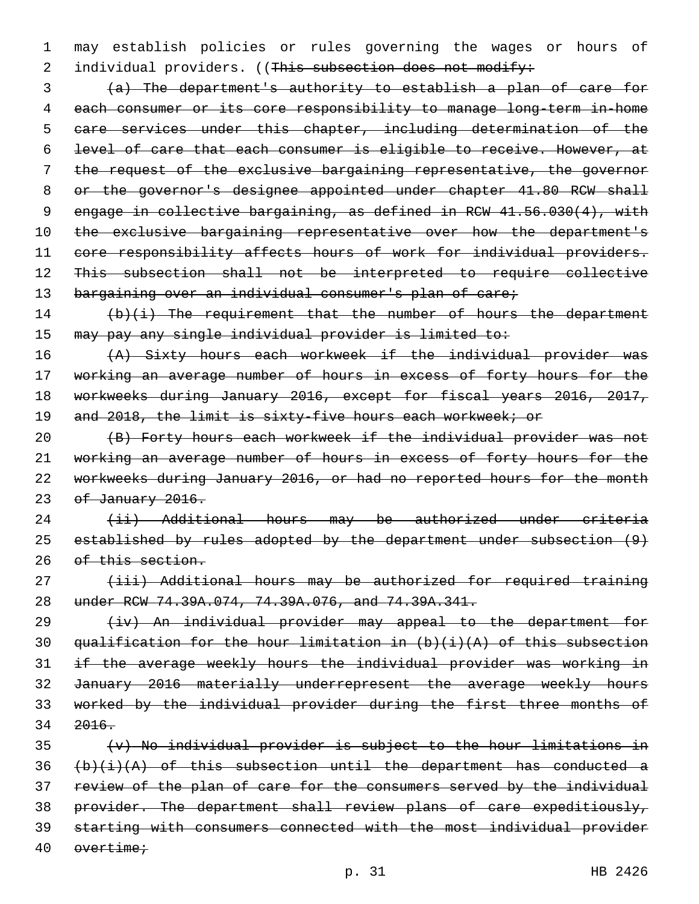1 may establish policies or rules governing the wages or hours of 2 individual providers. ((This subsection does not modify:

 (a) The department's authority to establish a plan of care for each consumer or its core responsibility to manage long-term in-home care services under this chapter, including determination of the level of care that each consumer is eligible to receive. However, at the request of the exclusive bargaining representative, the governor 8 or the governor's designee appointed under chapter 41.80 RCW shall engage in collective bargaining, as defined in RCW 41.56.030(4), with 10 the exclusive bargaining representative over how the department's 11 core responsibility affects hours of work for individual providers. This subsection shall not be interpreted to require collective 13 bargaining over an individual consumer's plan of care;

14 (b)(i) The requirement that the number of hours the department 15 may pay any single individual provider is limited to:

16 (A) Sixty hours each workweek if the individual provider was 17 working an average number of hours in excess of forty hours for the 18 workweeks during January 2016, except for fiscal years 2016, 2017, 19 and 2018, the limit is sixty-five hours each workweek; or

 (B) Forty hours each workweek if the individual provider was not working an average number of hours in excess of forty hours for the workweeks during January 2016, or had no reported hours for the month 23 of January 2016.

24 (ii) Additional hours may be authorized under criteria 25 established by rules adopted by the department under subsection (9) 26 of this section.

27 (iii) Additional hours may be authorized for required training 28 under RCW 74.39A.074, 74.39A.076, and 74.39A.341.

29 (iv) An individual provider may appeal to the department for 30 qualification for the hour limitation in  $(b)$   $(i)$   $(A)$  of this subsection 31 if the average weekly hours the individual provider was working in 32 January 2016 materially underrepresent the average weekly hours 33 worked by the individual provider during the first three months of 34 2016.

 (v) No individual provider is subject to the hour limitations in  $(b)(i)(A)$  of this subsection until the department has conducted a review of the plan of care for the consumers served by the individual 38 provider. The department shall review plans of care expeditiously, starting with consumers connected with the most individual provider overtime;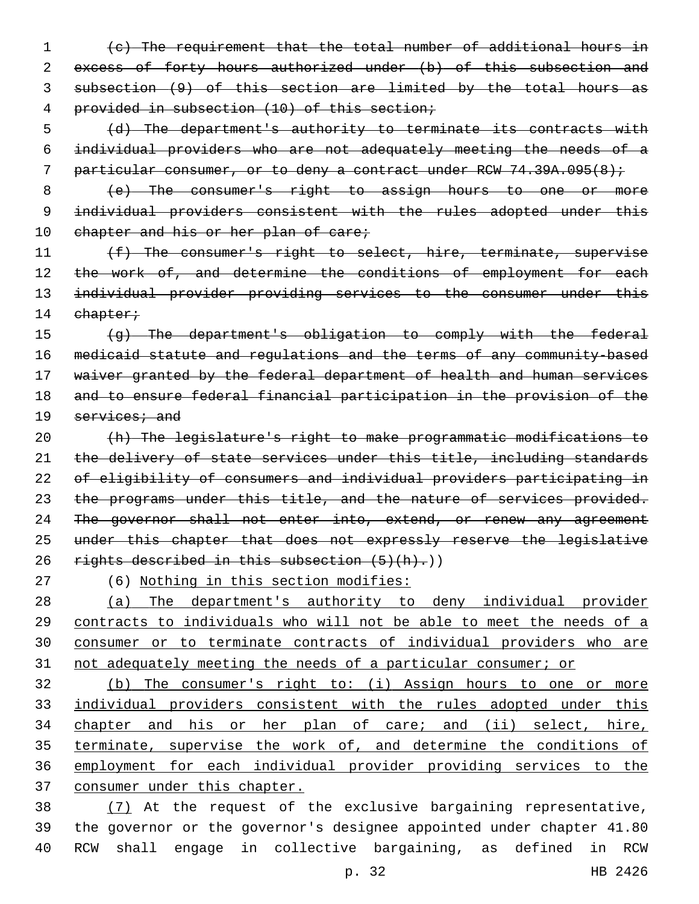(c) The requirement that the total number of additional hours in 2 excess of forty hours authorized under (b) of this subsection and subsection (9) of this section are limited by the total hours as provided in subsection (10) of this section;

 (d) The department's authority to terminate its contracts with individual providers who are not adequately meeting the needs of a 7 particular consumer, or to deny a contract under RCW 74.39A.095(8);

 (e) The consumer's right to assign hours to one or more 9 individual providers consistent with the rules adopted under this 10 chapter and his or her plan of care;

11 (f) The consumer's right to select, hire, terminate, supervise 12 the work of, and determine the conditions of employment for each 13 individual provider providing services to the consumer under this 14 chapter;

 (g) The department's obligation to comply with the federal medicaid statute and regulations and the terms of any community-based 17 waiver granted by the federal department of health and human services and to ensure federal financial participation in the provision of the services; and

 (h) The legislature's right to make programmatic modifications to 21 the delivery of state services under this title, including standards of eligibility of consumers and individual providers participating in 23 the programs under this title, and the nature of services provided. 24 The governor shall not enter into, extend, or renew any agreement under this chapter that does not expressly reserve the legislative 26 rights described in this subsection  $(5)(h)$ .)

(6) Nothing in this section modifies:

 (a) The department's authority to deny individual provider 29 contracts to individuals who will not be able to meet the needs of a consumer or to terminate contracts of individual providers who are not adequately meeting the needs of a particular consumer; or

 (b) The consumer's right to: (i) Assign hours to one or more individual providers consistent with the rules adopted under this chapter and his or her plan of care; and (ii) select, hire, terminate, supervise the work of, and determine the conditions of employment for each individual provider providing services to the consumer under this chapter.

 (7) At the request of the exclusive bargaining representative, the governor or the governor's designee appointed under chapter 41.80 RCW shall engage in collective bargaining, as defined in RCW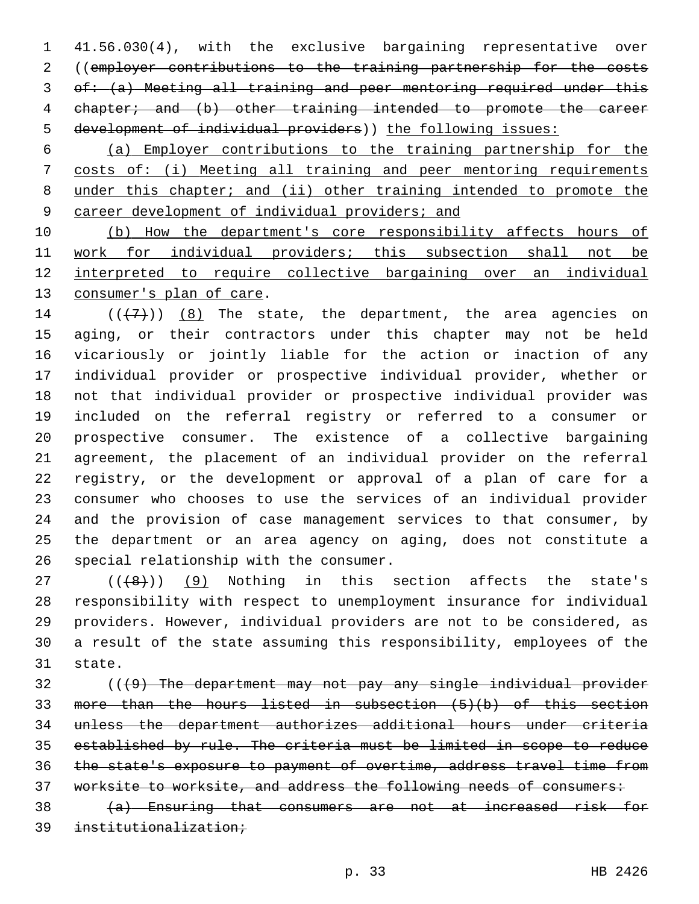41.56.030(4), with the exclusive bargaining representative over ((employer contributions to the training partnership for the costs of: (a) Meeting all training and peer mentoring required under this chapter; and (b) other training intended to promote the career development of individual providers)) the following issues:

 (a) Employer contributions to the training partnership for the costs of: (i) Meeting all training and peer mentoring requirements under this chapter; and (ii) other training intended to promote the career development of individual providers; and

 (b) How the department's core responsibility affects hours of work for individual providers; this subsection shall not be interpreted to require collective bargaining over an individual 13 consumer's plan of care.

 $((+7+))$   $(8)$  The state, the department, the area agencies on aging, or their contractors under this chapter may not be held vicariously or jointly liable for the action or inaction of any individual provider or prospective individual provider, whether or not that individual provider or prospective individual provider was included on the referral registry or referred to a consumer or prospective consumer. The existence of a collective bargaining agreement, the placement of an individual provider on the referral registry, or the development or approval of a plan of care for a consumer who chooses to use the services of an individual provider and the provision of case management services to that consumer, by the department or an area agency on aging, does not constitute a 26 special relationship with the consumer.

 ( $(\overline{+8})$ ) (9) Nothing in this section affects the state's responsibility with respect to unemployment insurance for individual providers. However, individual providers are not to be considered, as a result of the state assuming this responsibility, employees of the 31 state.

 (((9) The department may not pay any single individual provider more than the hours listed in subsection (5)(b) of this section unless the department authorizes additional hours under criteria established by rule. The criteria must be limited in scope to reduce the state's exposure to payment of overtime, address travel time from worksite to worksite, and address the following needs of consumers:

 (a) Ensuring that consumers are not at increased risk for institutionalization;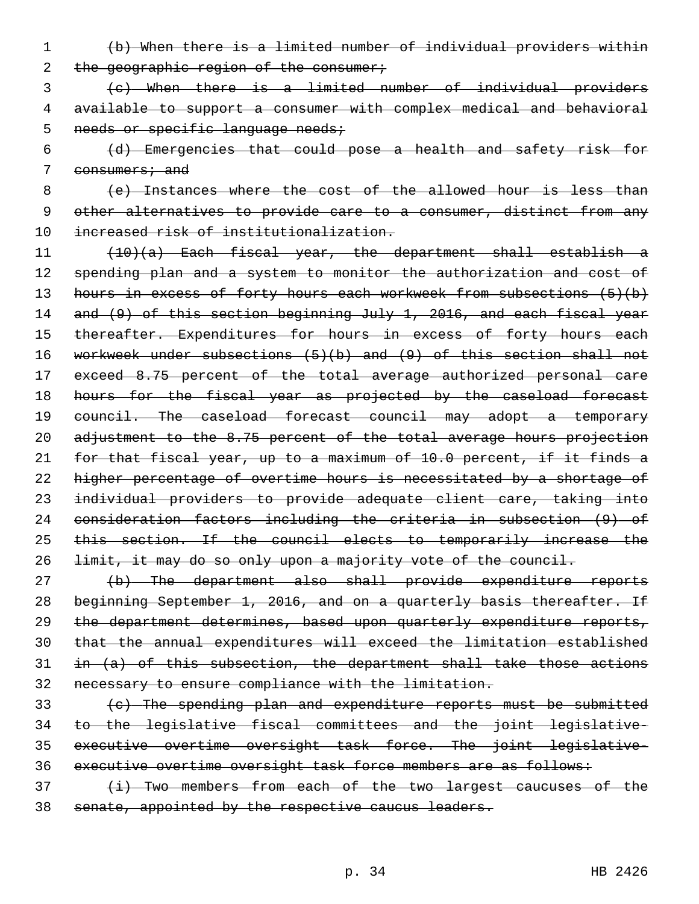- (b) When there is a limited number of individual providers within 2 the geographic region of the consumer;
- (c) When there is a limited number of individual providers available to support a consumer with complex medical and behavioral 5 needs or specific language needs;
- (d) Emergencies that could pose a health and safety risk for 7 consumers; and

 (e) Instances where the cost of the allowed hour is less than other alternatives to provide care to a consumer, distinct from any increased risk of institutionalization.

 (10)(a) Each fiscal year, the department shall establish a 12 spending plan and a system to monitor the authorization and cost of 13 hours in excess of forty hours each workweek from subsections (5)(b) 14 and (9) of this section beginning July 1, 2016, and each fiscal year 15 thereafter. Expenditures for hours in excess of forty hours each workweek under subsections (5)(b) and (9) of this section shall not exceed 8.75 percent of the total average authorized personal care 18 hours for the fiscal year as projected by the caseload forecast 19 council. The caseload forecast council may adopt a temporary adjustment to the 8.75 percent of the total average hours projection for that fiscal year, up to a maximum of 10.0 percent, if it finds a higher percentage of overtime hours is necessitated by a shortage of individual providers to provide adequate client care, taking into consideration factors including the criteria in subsection (9) of 25 this section. If the council elects to temporarily increase the limit, it may do so only upon a majority vote of the council.

- (b) The department also shall provide expenditure reports 28 beginning September 1, 2016, and on a quarterly basis thereafter. If the department determines, based upon quarterly expenditure reports, that the annual expenditures will exceed the limitation established in  $(a)$  of this subsection, the department shall take those actions necessary to ensure compliance with the limitation.
- (c) The spending plan and expenditure reports must be submitted to the legislative fiscal committees and the joint legislative- executive overtime oversight task force. The joint legislative-36 executive overtime oversight task force members are as follows:
- 37 (i) Two members from each of the two largest caucuses of the senate, appointed by the respective caucus leaders.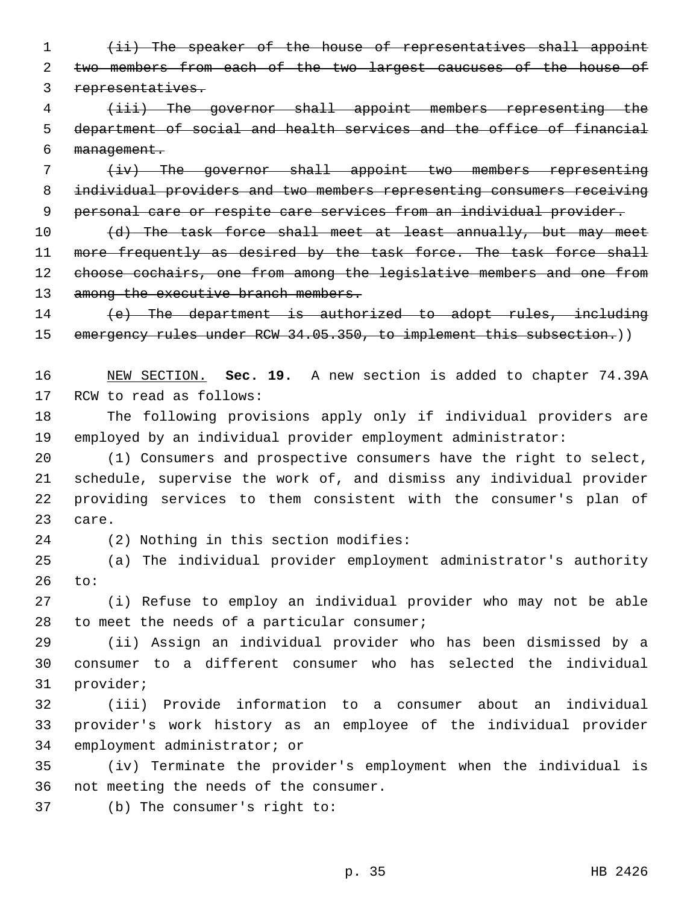(ii) The speaker of the house of representatives shall appoint two members from each of the two largest caucuses of the house of representatives.

 (iii) The governor shall appoint members representing the department of social and health services and the office of financial management.

 (iv) The governor shall appoint two members representing individual providers and two members representing consumers receiving personal care or respite care services from an individual provider.

10 (d) The task force shall meet at least annually, but may meet 11 more frequently as desired by the task force. The task force shall choose cochairs, one from among the legislative members and one from 13 among the executive branch members.

14 (e) The department is authorized to adopt rules, including 15 emergency rules under RCW 34.05.350, to implement this subsection.))

 NEW SECTION. **Sec. 19.** A new section is added to chapter 74.39A 17 RCW to read as follows:

 The following provisions apply only if individual providers are employed by an individual provider employment administrator:

 (1) Consumers and prospective consumers have the right to select, schedule, supervise the work of, and dismiss any individual provider providing services to them consistent with the consumer's plan of 23 care.

24 (2) Nothing in this section modifies:

 (a) The individual provider employment administrator's authority to:

 (i) Refuse to employ an individual provider who may not be able 28 to meet the needs of a particular consumer;

 (ii) Assign an individual provider who has been dismissed by a consumer to a different consumer who has selected the individual 31 provider;

 (iii) Provide information to a consumer about an individual provider's work history as an employee of the individual provider 34 employment administrator; or

 (iv) Terminate the provider's employment when the individual is 36 not meeting the needs of the consumer.

37 (b) The consumer's right to: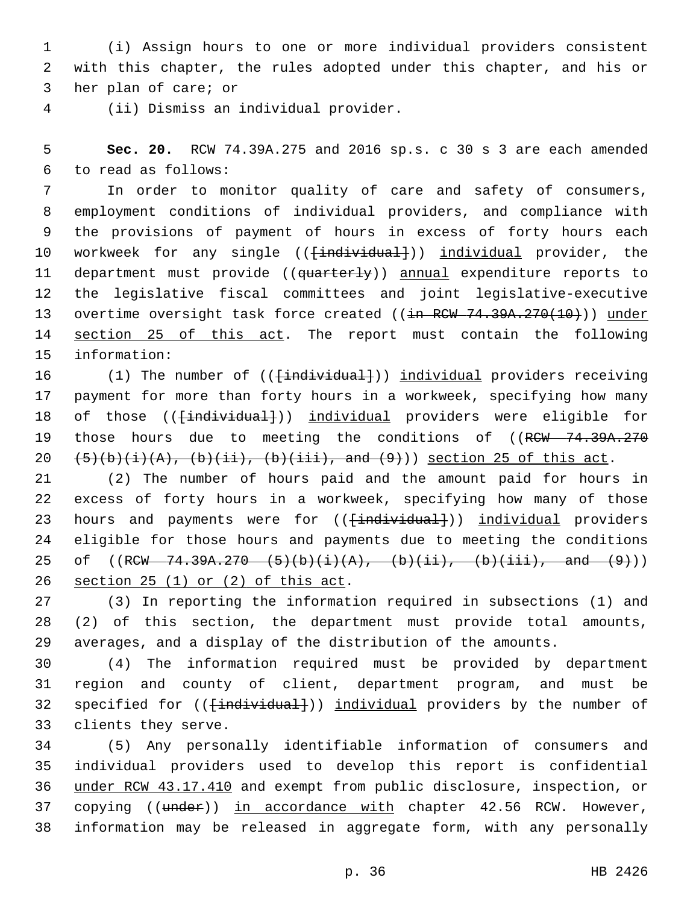1 (i) Assign hours to one or more individual providers consistent 2 with this chapter, the rules adopted under this chapter, and his or 3 her plan of care; or

(ii) Dismiss an individual provider.4

5 **Sec. 20.** RCW 74.39A.275 and 2016 sp.s. c 30 s 3 are each amended to read as follows:6

7 In order to monitor quality of care and safety of consumers, 8 employment conditions of individual providers, and compliance with 9 the provisions of payment of hours in excess of forty hours each 10 workweek for any single ((<del>[individual]</del>)) individual provider, the 11 department must provide ((quarterly)) annual expenditure reports to 12 the legislative fiscal committees and joint legislative-executive 13 overtime oversight task force created ((in RCW 74.39A.270(10))) under 14 section 25 of this act. The report must contain the following 15 information:

16 (1) The number of (( $\{\text{individual}\})$ ) individual providers receiving 17 payment for more than forty hours in a workweek, specifying how many 18 of those (( $\{\text{individual}\}$ )) individual providers were eligible for 19 those hours due to meeting the conditions of ((RCW 74.39A.270) 20  $(5)(b)(i)(A), (b)(ii), (b)(iii), and (9))$  section 25 of this act.

21 (2) The number of hours paid and the amount paid for hours in 22 excess of forty hours in a workweek, specifying how many of those 23 hours and payments were for ((<del>[individual]</del>)) individual providers 24 eligible for those hours and payments due to meeting the conditions 25 of  $((RCW - 74.39A.270 - (5)(b)(i)(A), (b)(ii), (b)(iii), and (9))$ 26 section  $25(1)$  or  $(2)$  of this act.

27 (3) In reporting the information required in subsections (1) and 28 (2) of this section, the department must provide total amounts, 29 averages, and a display of the distribution of the amounts.

30 (4) The information required must be provided by department 31 region and county of client, department program, and must be 32 specified for ((<del>[individual]</del>)) individual providers by the number of 33 clients they serve.

 (5) Any personally identifiable information of consumers and individual providers used to develop this report is confidential under RCW 43.17.410 and exempt from public disclosure, inspection, or 37 copying ((under)) in accordance with chapter 42.56 RCW. However, information may be released in aggregate form, with any personally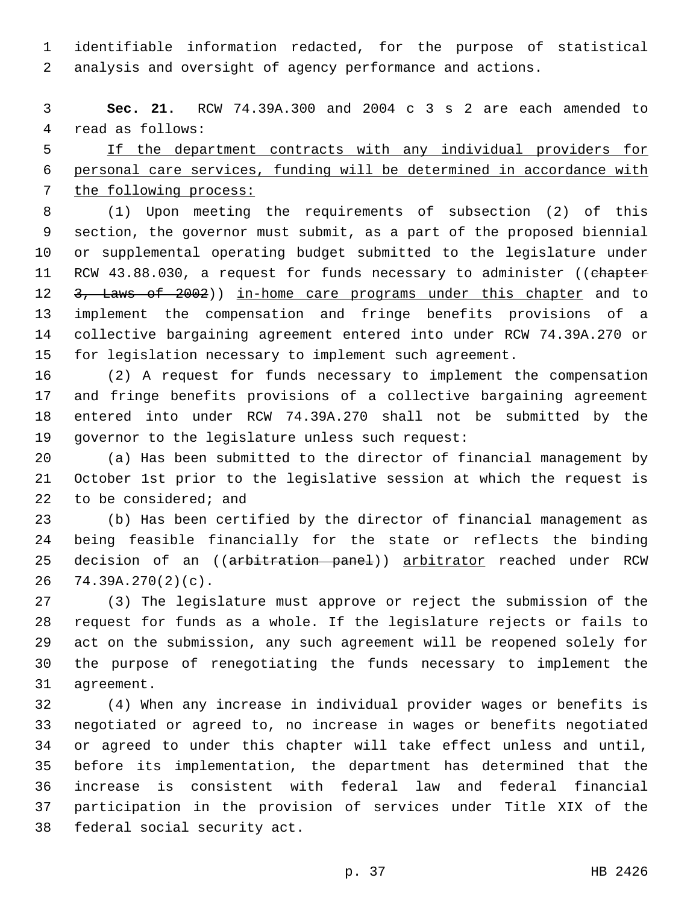identifiable information redacted, for the purpose of statistical analysis and oversight of agency performance and actions.

 **Sec. 21.** RCW 74.39A.300 and 2004 c 3 s 2 are each amended to 4 read as follows:

 If the department contracts with any individual providers for personal care services, funding will be determined in accordance with the following process:

 (1) Upon meeting the requirements of subsection (2) of this section, the governor must submit, as a part of the proposed biennial or supplemental operating budget submitted to the legislature under 11 RCW 43.88.030, a request for funds necessary to administer ((chapter 12 3, Laws of 2002)) in-home care programs under this chapter and to implement the compensation and fringe benefits provisions of a collective bargaining agreement entered into under RCW 74.39A.270 or for legislation necessary to implement such agreement.

 (2) A request for funds necessary to implement the compensation and fringe benefits provisions of a collective bargaining agreement entered into under RCW 74.39A.270 shall not be submitted by the 19 governor to the legislature unless such request:

 (a) Has been submitted to the director of financial management by October 1st prior to the legislative session at which the request is 22 to be considered; and

 (b) Has been certified by the director of financial management as being feasible financially for the state or reflects the binding 25 decision of an ((arbitration panel)) arbitrator reached under RCW 74.39A.270(2)(c).

 (3) The legislature must approve or reject the submission of the request for funds as a whole. If the legislature rejects or fails to act on the submission, any such agreement will be reopened solely for the purpose of renegotiating the funds necessary to implement the 31 agreement.

 (4) When any increase in individual provider wages or benefits is negotiated or agreed to, no increase in wages or benefits negotiated or agreed to under this chapter will take effect unless and until, before its implementation, the department has determined that the increase is consistent with federal law and federal financial participation in the provision of services under Title XIX of the 38 federal social security act.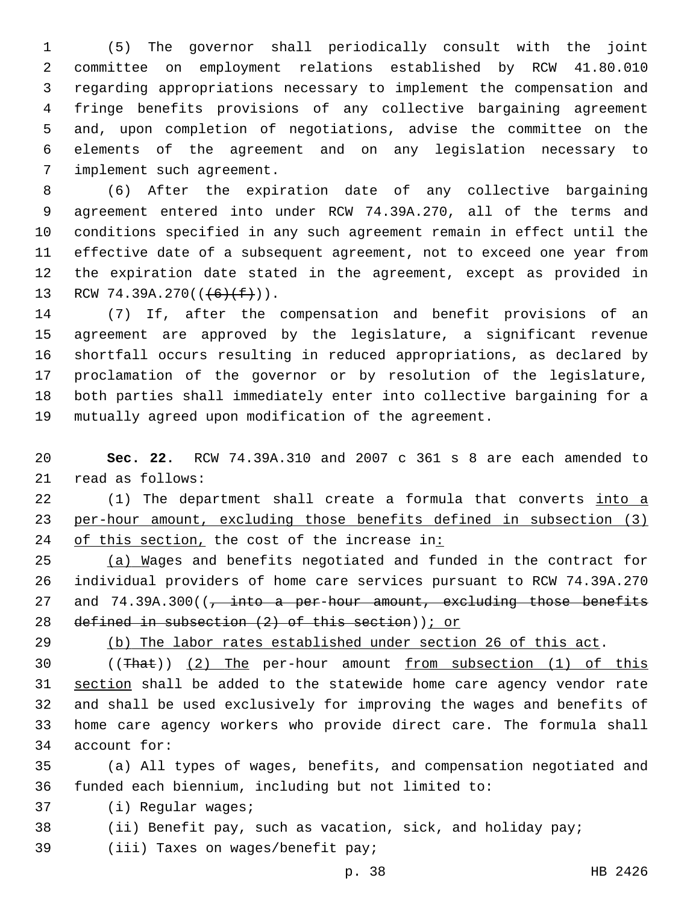(5) The governor shall periodically consult with the joint committee on employment relations established by RCW 41.80.010 regarding appropriations necessary to implement the compensation and fringe benefits provisions of any collective bargaining agreement and, upon completion of negotiations, advise the committee on the elements of the agreement and on any legislation necessary to 7 implement such agreement.

 (6) After the expiration date of any collective bargaining agreement entered into under RCW 74.39A.270, all of the terms and conditions specified in any such agreement remain in effect until the effective date of a subsequent agreement, not to exceed one year from the expiration date stated in the agreement, except as provided in 13 RCW 74.39A.270( $(\frac{6}{f})$ ).

 (7) If, after the compensation and benefit provisions of an agreement are approved by the legislature, a significant revenue shortfall occurs resulting in reduced appropriations, as declared by proclamation of the governor or by resolution of the legislature, both parties shall immediately enter into collective bargaining for a mutually agreed upon modification of the agreement.

 **Sec. 22.** RCW 74.39A.310 and 2007 c 361 s 8 are each amended to 21 read as follows:

22 (1) The department shall create a formula that converts into a per-hour amount, excluding those benefits defined in subsection (3) 24 of this section, the cost of the increase in:

 (a) Wages and benefits negotiated and funded in the contract for individual providers of home care services pursuant to RCW 74.39A.270 27 and 74.39A.300((, into a per-hour amount, excluding those benefits defined in subsection (2) of this section)); or

(b) The labor rates established under section 26 of this act.

 ((That)) (2) The per-hour amount from subsection (1) of this section shall be added to the statewide home care agency vendor rate and shall be used exclusively for improving the wages and benefits of home care agency workers who provide direct care. The formula shall 34 account for:

 (a) All types of wages, benefits, and compensation negotiated and funded each biennium, including but not limited to:

37 (i) Reqular waqes;

(ii) Benefit pay, such as vacation, sick, and holiday pay;

39 (iii) Taxes on wages/benefit pay;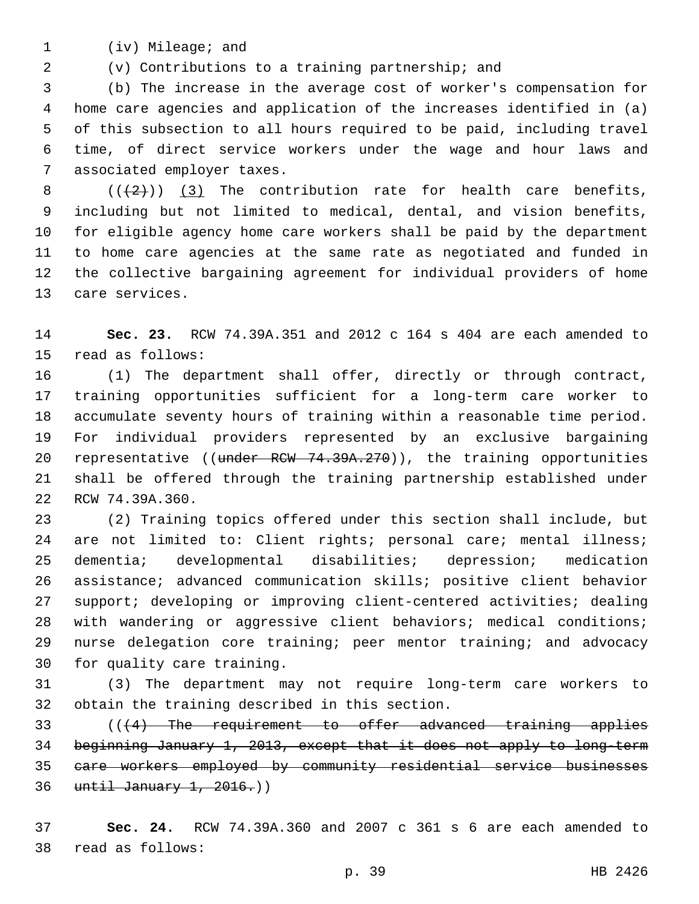1 (iv) Mileage; and

(v) Contributions to a training partnership; and

 (b) The increase in the average cost of worker's compensation for home care agencies and application of the increases identified in (a) of this subsection to all hours required to be paid, including travel time, of direct service workers under the wage and hour laws and 7 associated employer taxes.

 $((+2))$   $(3)$  The contribution rate for health care benefits, including but not limited to medical, dental, and vision benefits, for eligible agency home care workers shall be paid by the department to home care agencies at the same rate as negotiated and funded in the collective bargaining agreement for individual providers of home 13 care services.

 **Sec. 23.** RCW 74.39A.351 and 2012 c 164 s 404 are each amended to 15 read as follows:

 (1) The department shall offer, directly or through contract, training opportunities sufficient for a long-term care worker to accumulate seventy hours of training within a reasonable time period. For individual providers represented by an exclusive bargaining 20 representative ((under RCW 74.39A.270)), the training opportunities shall be offered through the training partnership established under 22 RCW 74.39A.360.

 (2) Training topics offered under this section shall include, but are not limited to: Client rights; personal care; mental illness; dementia; developmental disabilities; depression; medication assistance; advanced communication skills; positive client behavior support; developing or improving client-centered activities; dealing with wandering or aggressive client behaviors; medical conditions; nurse delegation core training; peer mentor training; and advocacy 30 for quality care training.

 (3) The department may not require long-term care workers to 32 obtain the training described in this section.

 (((4) The requirement to offer advanced training applies beginning January 1, 2013, except that it does not apply to long-term care workers employed by community residential service businesses until January 1, 2016.))

 **Sec. 24.** RCW 74.39A.360 and 2007 c 361 s 6 are each amended to 38 read as follows: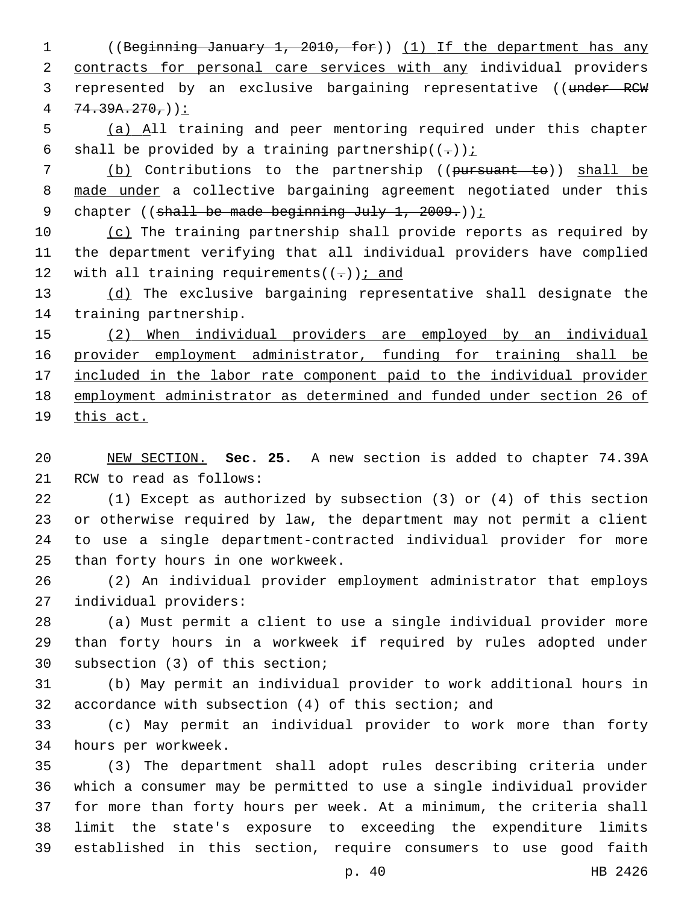1 ((Beginning January 1, 2010, for)) (1) If the department has any 2 contracts for personal care services with any individual providers 3 represented by an exclusive bargaining representative ((under RCW  $4 \quad 74.39A.270.$ 

5 (a) All training and peer mentoring required under this chapter 6 shall be provided by a training partnership $((-))$  i

7 (b) Contributions to the partnership ((pursuant to)) shall be 8 made under a collective bargaining agreement negotiated under this 9 chapter ((shall be made beginning July 1, 2009.));

10 (c) The training partnership shall provide reports as required by 11 the department verifying that all individual providers have complied 12 with all training requirements( $(-)$ ); and

13 (d) The exclusive bargaining representative shall designate the 14 training partnership.

15 (2) When individual providers are employed by an individual 16 provider employment administrator, funding for training shall be 17 included in the labor rate component paid to the individual provider 18 employment administrator as determined and funded under section 26 of 19 this act.

20 NEW SECTION. **Sec. 25.** A new section is added to chapter 74.39A 21 RCW to read as follows:

 (1) Except as authorized by subsection (3) or (4) of this section or otherwise required by law, the department may not permit a client to use a single department-contracted individual provider for more 25 than forty hours in one workweek.

26 (2) An individual provider employment administrator that employs 27 individual providers:

28 (a) Must permit a client to use a single individual provider more 29 than forty hours in a workweek if required by rules adopted under 30 subsection (3) of this section;

31 (b) May permit an individual provider to work additional hours in 32 accordance with subsection (4) of this section; and

33 (c) May permit an individual provider to work more than forty 34 hours per workweek.

 (3) The department shall adopt rules describing criteria under which a consumer may be permitted to use a single individual provider for more than forty hours per week. At a minimum, the criteria shall limit the state's exposure to exceeding the expenditure limits established in this section, require consumers to use good faith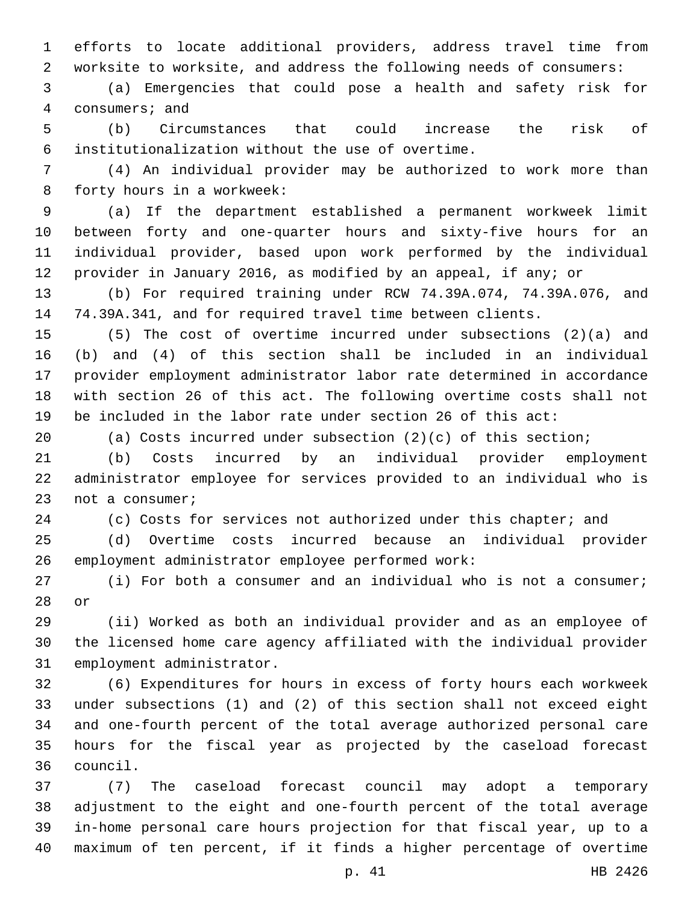efforts to locate additional providers, address travel time from worksite to worksite, and address the following needs of consumers:

 (a) Emergencies that could pose a health and safety risk for 4 consumers; and

 (b) Circumstances that could increase the risk of institutionalization without the use of overtime.6

 (4) An individual provider may be authorized to work more than 8 forty hours in a workweek:

 (a) If the department established a permanent workweek limit between forty and one-quarter hours and sixty-five hours for an individual provider, based upon work performed by the individual provider in January 2016, as modified by an appeal, if any; or

 (b) For required training under RCW 74.39A.074, 74.39A.076, and 74.39A.341, and for required travel time between clients.

 (5) The cost of overtime incurred under subsections (2)(a) and (b) and (4) of this section shall be included in an individual provider employment administrator labor rate determined in accordance with section 26 of this act. The following overtime costs shall not be included in the labor rate under section 26 of this act:

(a) Costs incurred under subsection (2)(c) of this section;

 (b) Costs incurred by an individual provider employment administrator employee for services provided to an individual who is 23 not a consumer;

24 (c) Costs for services not authorized under this chapter; and

 (d) Overtime costs incurred because an individual provider 26 employment administrator employee performed work:

 (i) For both a consumer and an individual who is not a consumer; 28 or

 (ii) Worked as both an individual provider and as an employee of the licensed home care agency affiliated with the individual provider 31 employment administrator.

 (6) Expenditures for hours in excess of forty hours each workweek under subsections (1) and (2) of this section shall not exceed eight and one-fourth percent of the total average authorized personal care hours for the fiscal year as projected by the caseload forecast council.36

 (7) The caseload forecast council may adopt a temporary adjustment to the eight and one-fourth percent of the total average in-home personal care hours projection for that fiscal year, up to a maximum of ten percent, if it finds a higher percentage of overtime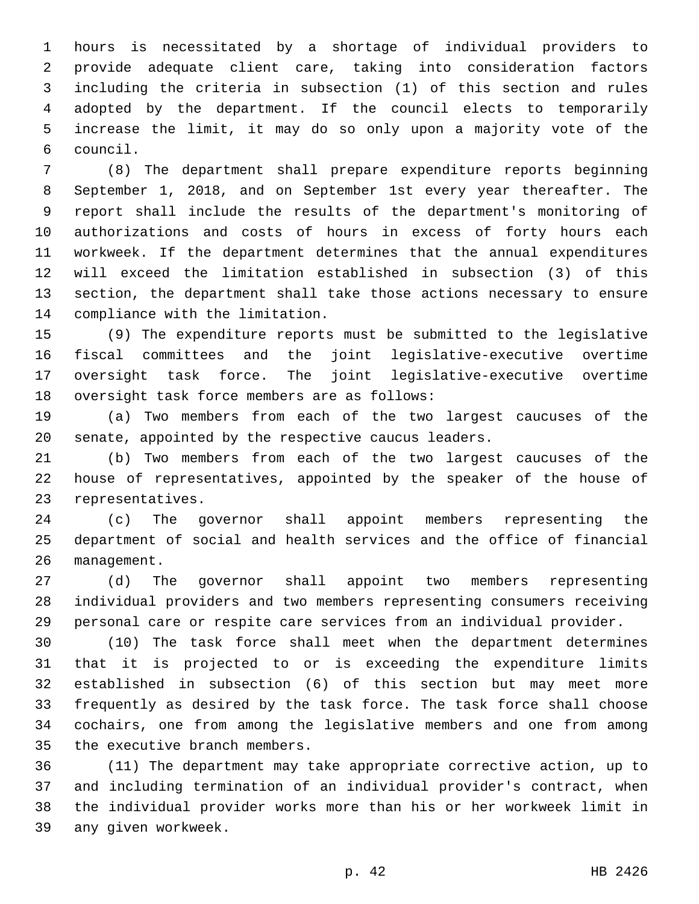hours is necessitated by a shortage of individual providers to provide adequate client care, taking into consideration factors including the criteria in subsection (1) of this section and rules adopted by the department. If the council elects to temporarily increase the limit, it may do so only upon a majority vote of the council.6

 (8) The department shall prepare expenditure reports beginning September 1, 2018, and on September 1st every year thereafter. The report shall include the results of the department's monitoring of authorizations and costs of hours in excess of forty hours each workweek. If the department determines that the annual expenditures will exceed the limitation established in subsection (3) of this section, the department shall take those actions necessary to ensure 14 compliance with the limitation.

 (9) The expenditure reports must be submitted to the legislative fiscal committees and the joint legislative-executive overtime oversight task force. The joint legislative-executive overtime 18 oversight task force members are as follows:

 (a) Two members from each of the two largest caucuses of the senate, appointed by the respective caucus leaders.

 (b) Two members from each of the two largest caucuses of the house of representatives, appointed by the speaker of the house of 23 representatives.

 (c) The governor shall appoint members representing the department of social and health services and the office of financial 26 management.

 (d) The governor shall appoint two members representing individual providers and two members representing consumers receiving personal care or respite care services from an individual provider.

 (10) The task force shall meet when the department determines that it is projected to or is exceeding the expenditure limits established in subsection (6) of this section but may meet more frequently as desired by the task force. The task force shall choose cochairs, one from among the legislative members and one from among 35 the executive branch members.

 (11) The department may take appropriate corrective action, up to and including termination of an individual provider's contract, when the individual provider works more than his or her workweek limit in 39 any given workweek.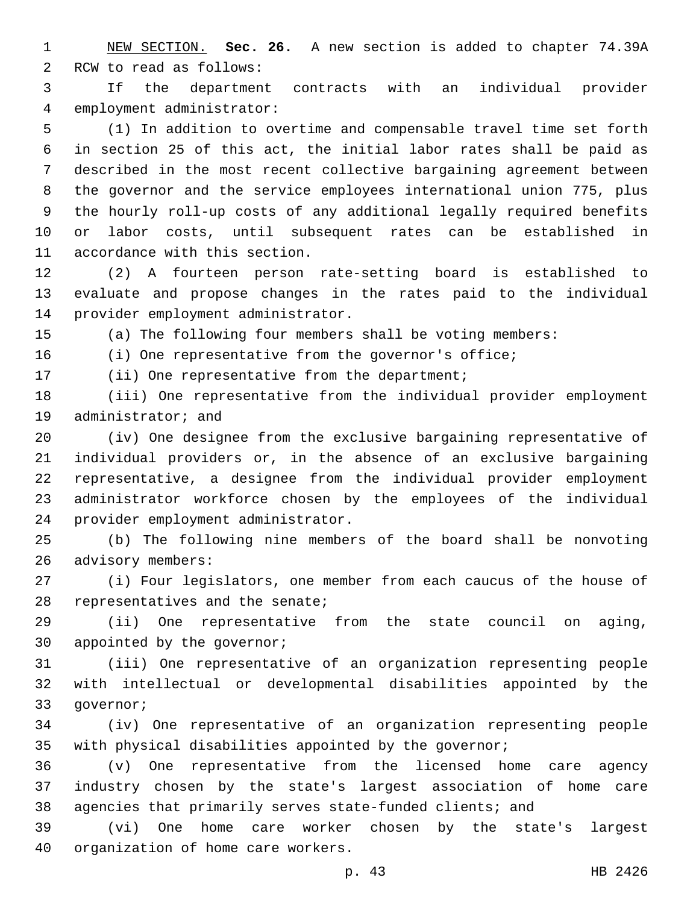NEW SECTION. **Sec. 26.** A new section is added to chapter 74.39A 2 RCW to read as follows:

 If the department contracts with an individual provider 4 employment administrator:

 (1) In addition to overtime and compensable travel time set forth in section 25 of this act, the initial labor rates shall be paid as described in the most recent collective bargaining agreement between the governor and the service employees international union 775, plus the hourly roll-up costs of any additional legally required benefits or labor costs, until subsequent rates can be established in 11 accordance with this section.

 (2) A fourteen person rate-setting board is established to evaluate and propose changes in the rates paid to the individual 14 provider employment administrator.

(a) The following four members shall be voting members:

(i) One representative from the governor's office;

17 (ii) One representative from the department;

 (iii) One representative from the individual provider employment 19 administrator; and

 (iv) One designee from the exclusive bargaining representative of individual providers or, in the absence of an exclusive bargaining representative, a designee from the individual provider employment administrator workforce chosen by the employees of the individual 24 provider employment administrator.

 (b) The following nine members of the board shall be nonvoting 26 advisory members:

 (i) Four legislators, one member from each caucus of the house of 28 representatives and the senate;

 (ii) One representative from the state council on aging, 30 appointed by the governor;

 (iii) One representative of an organization representing people with intellectual or developmental disabilities appointed by the 33 qovernor;

 (iv) One representative of an organization representing people with physical disabilities appointed by the governor;

 (v) One representative from the licensed home care agency industry chosen by the state's largest association of home care agencies that primarily serves state-funded clients; and

 (vi) One home care worker chosen by the state's largest 40 organization of home care workers.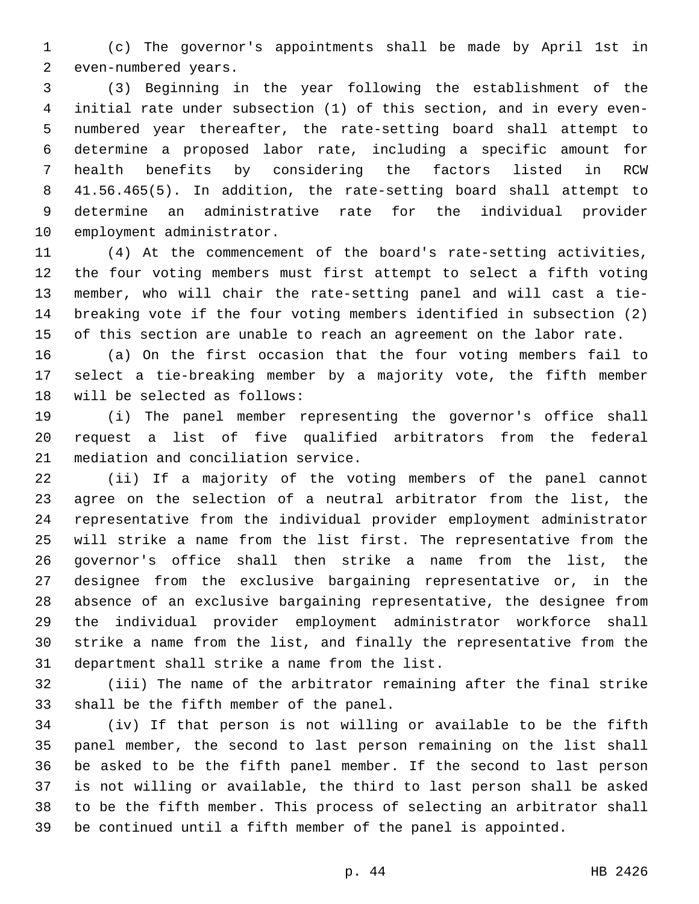(c) The governor's appointments shall be made by April 1st in 2 even-numbered years.

 (3) Beginning in the year following the establishment of the initial rate under subsection (1) of this section, and in every even- numbered year thereafter, the rate-setting board shall attempt to determine a proposed labor rate, including a specific amount for health benefits by considering the factors listed in RCW 41.56.465(5). In addition, the rate-setting board shall attempt to determine an administrative rate for the individual provider 10 employment administrator.

 (4) At the commencement of the board's rate-setting activities, the four voting members must first attempt to select a fifth voting member, who will chair the rate-setting panel and will cast a tie- breaking vote if the four voting members identified in subsection (2) of this section are unable to reach an agreement on the labor rate.

 (a) On the first occasion that the four voting members fail to select a tie-breaking member by a majority vote, the fifth member 18 will be selected as follows:

 (i) The panel member representing the governor's office shall request a list of five qualified arbitrators from the federal 21 mediation and conciliation service.

 (ii) If a majority of the voting members of the panel cannot agree on the selection of a neutral arbitrator from the list, the representative from the individual provider employment administrator will strike a name from the list first. The representative from the governor's office shall then strike a name from the list, the designee from the exclusive bargaining representative or, in the absence of an exclusive bargaining representative, the designee from the individual provider employment administrator workforce shall strike a name from the list, and finally the representative from the 31 department shall strike a name from the list.

 (iii) The name of the arbitrator remaining after the final strike 33 shall be the fifth member of the panel.

 (iv) If that person is not willing or available to be the fifth panel member, the second to last person remaining on the list shall be asked to be the fifth panel member. If the second to last person is not willing or available, the third to last person shall be asked to be the fifth member. This process of selecting an arbitrator shall be continued until a fifth member of the panel is appointed.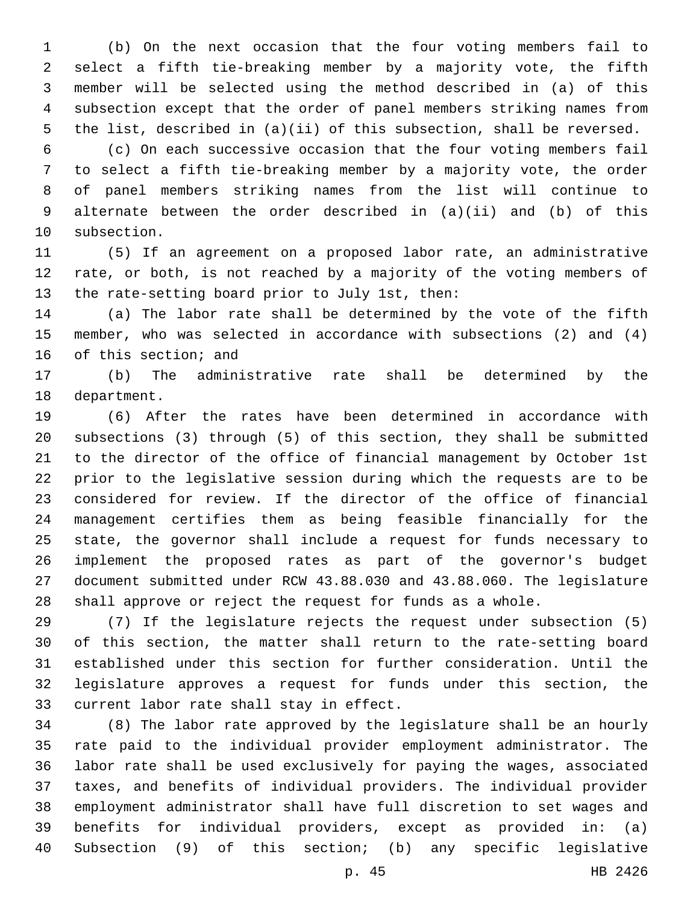(b) On the next occasion that the four voting members fail to select a fifth tie-breaking member by a majority vote, the fifth member will be selected using the method described in (a) of this subsection except that the order of panel members striking names from the list, described in (a)(ii) of this subsection, shall be reversed.

 (c) On each successive occasion that the four voting members fail to select a fifth tie-breaking member by a majority vote, the order of panel members striking names from the list will continue to alternate between the order described in (a)(ii) and (b) of this 10 subsection.

 (5) If an agreement on a proposed labor rate, an administrative rate, or both, is not reached by a majority of the voting members of 13 the rate-setting board prior to July 1st, then:

 (a) The labor rate shall be determined by the vote of the fifth member, who was selected in accordance with subsections (2) and (4) 16 of this section; and

 (b) The administrative rate shall be determined by the 18 department.

 (6) After the rates have been determined in accordance with subsections (3) through (5) of this section, they shall be submitted to the director of the office of financial management by October 1st prior to the legislative session during which the requests are to be considered for review. If the director of the office of financial management certifies them as being feasible financially for the state, the governor shall include a request for funds necessary to implement the proposed rates as part of the governor's budget document submitted under RCW 43.88.030 and 43.88.060. The legislature shall approve or reject the request for funds as a whole.

 (7) If the legislature rejects the request under subsection (5) of this section, the matter shall return to the rate-setting board established under this section for further consideration. Until the legislature approves a request for funds under this section, the 33 current labor rate shall stay in effect.

 (8) The labor rate approved by the legislature shall be an hourly rate paid to the individual provider employment administrator. The labor rate shall be used exclusively for paying the wages, associated taxes, and benefits of individual providers. The individual provider employment administrator shall have full discretion to set wages and benefits for individual providers, except as provided in: (a) Subsection (9) of this section; (b) any specific legislative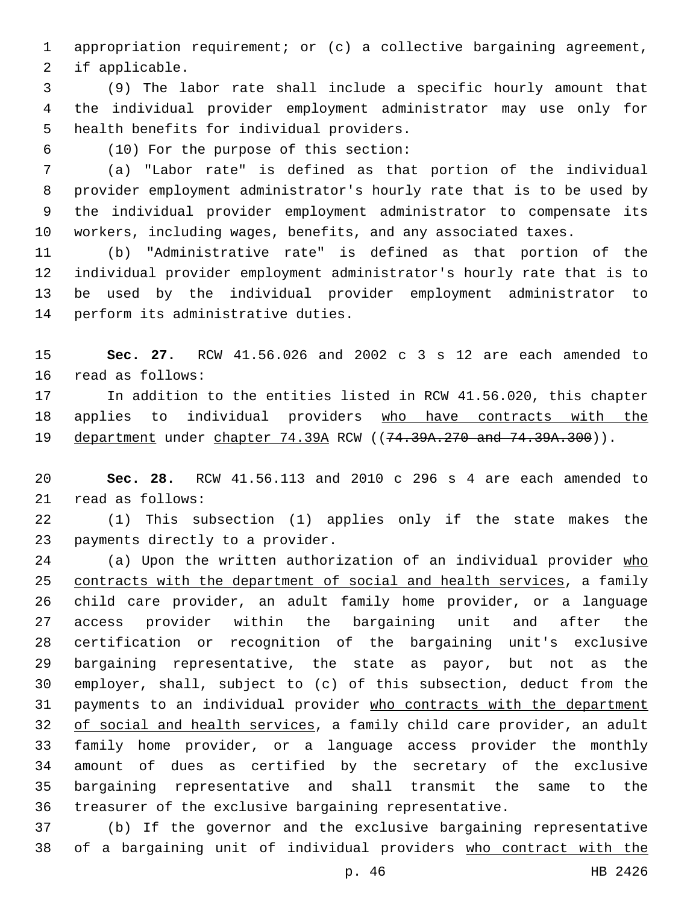appropriation requirement; or (c) a collective bargaining agreement, 2 if applicable.

 (9) The labor rate shall include a specific hourly amount that the individual provider employment administrator may use only for 5 health benefits for individual providers.

(10) For the purpose of this section:6

 (a) "Labor rate" is defined as that portion of the individual provider employment administrator's hourly rate that is to be used by the individual provider employment administrator to compensate its workers, including wages, benefits, and any associated taxes.

 (b) "Administrative rate" is defined as that portion of the individual provider employment administrator's hourly rate that is to be used by the individual provider employment administrator to 14 perform its administrative duties.

 **Sec. 27.** RCW 41.56.026 and 2002 c 3 s 12 are each amended to 16 read as follows:

 In addition to the entities listed in RCW 41.56.020, this chapter 18 applies to individual providers who have contracts with the 19 department under chapter 74.39A RCW ((74.39A.270 and 74.39A.300)).

 **Sec. 28.** RCW 41.56.113 and 2010 c 296 s 4 are each amended to 21 read as follows:

 (1) This subsection (1) applies only if the state makes the 23 payments directly to a provider.

24 (a) Upon the written authorization of an individual provider who contracts with the department of social and health services, a family child care provider, an adult family home provider, or a language access provider within the bargaining unit and after the certification or recognition of the bargaining unit's exclusive bargaining representative, the state as payor, but not as the employer, shall, subject to (c) of this subsection, deduct from the payments to an individual provider who contracts with the department 32 of social and health services, a family child care provider, an adult family home provider, or a language access provider the monthly amount of dues as certified by the secretary of the exclusive bargaining representative and shall transmit the same to the treasurer of the exclusive bargaining representative.

 (b) If the governor and the exclusive bargaining representative of a bargaining unit of individual providers who contract with the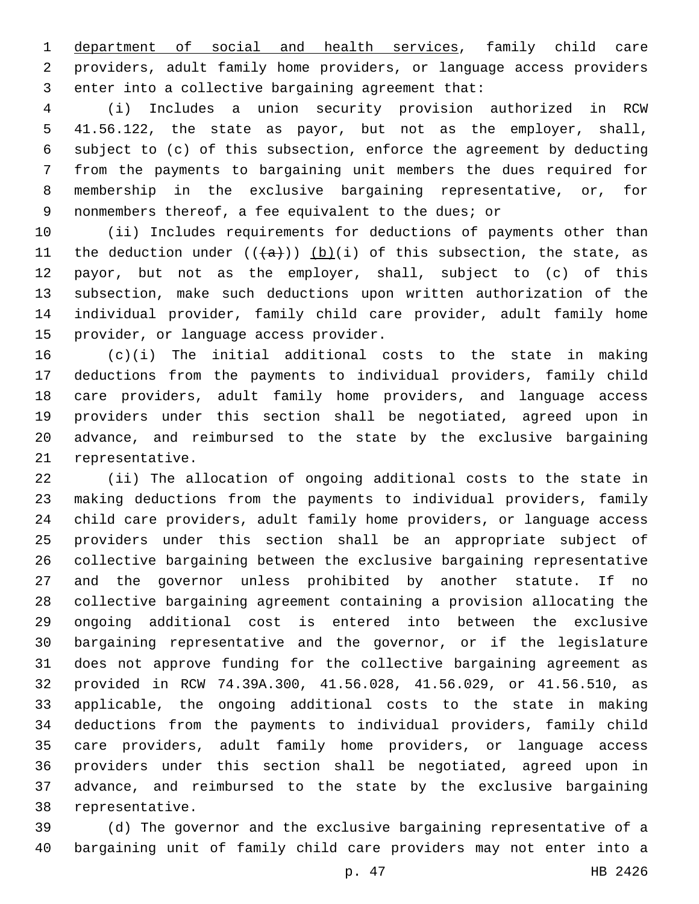department of social and health services, family child care providers, adult family home providers, or language access providers 3 enter into a collective bargaining agreement that:

 (i) Includes a union security provision authorized in RCW 41.56.122, the state as payor, but not as the employer, shall, subject to (c) of this subsection, enforce the agreement by deducting from the payments to bargaining unit members the dues required for membership in the exclusive bargaining representative, or, for nonmembers thereof, a fee equivalent to the dues; or

 (ii) Includes requirements for deductions of payments other than 11 the deduction under  $((+a))$  (b)(i) of this subsection, the state, as payor, but not as the employer, shall, subject to (c) of this subsection, make such deductions upon written authorization of the individual provider, family child care provider, adult family home 15 provider, or language access provider.

 (c)(i) The initial additional costs to the state in making deductions from the payments to individual providers, family child care providers, adult family home providers, and language access providers under this section shall be negotiated, agreed upon in advance, and reimbursed to the state by the exclusive bargaining 21 representative.

 (ii) The allocation of ongoing additional costs to the state in making deductions from the payments to individual providers, family child care providers, adult family home providers, or language access providers under this section shall be an appropriate subject of collective bargaining between the exclusive bargaining representative and the governor unless prohibited by another statute. If no collective bargaining agreement containing a provision allocating the ongoing additional cost is entered into between the exclusive bargaining representative and the governor, or if the legislature does not approve funding for the collective bargaining agreement as provided in RCW 74.39A.300, 41.56.028, 41.56.029, or 41.56.510, as applicable, the ongoing additional costs to the state in making deductions from the payments to individual providers, family child care providers, adult family home providers, or language access providers under this section shall be negotiated, agreed upon in advance, and reimbursed to the state by the exclusive bargaining 38 representative.

 (d) The governor and the exclusive bargaining representative of a bargaining unit of family child care providers may not enter into a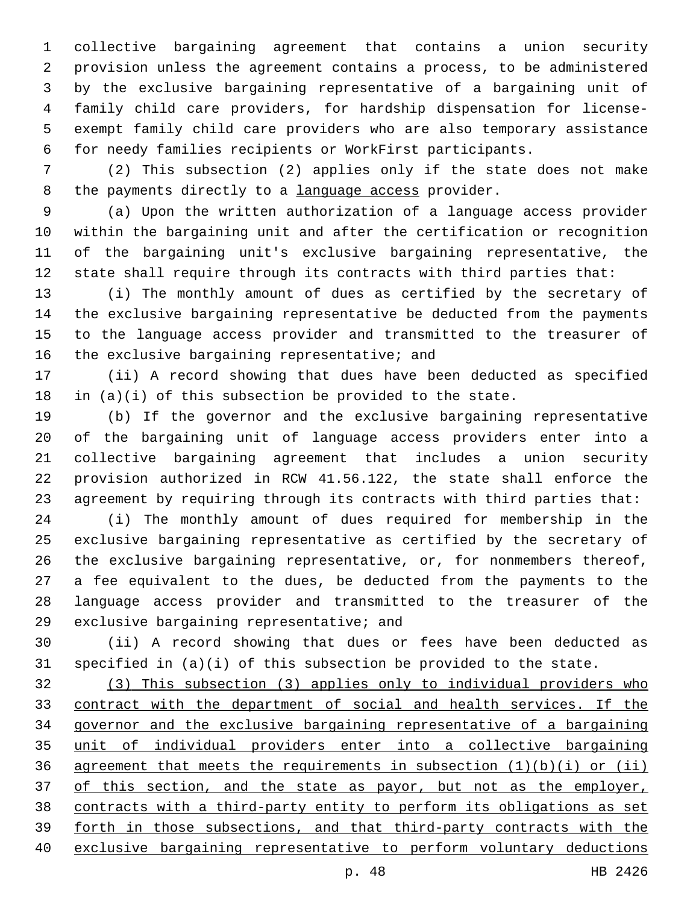collective bargaining agreement that contains a union security provision unless the agreement contains a process, to be administered by the exclusive bargaining representative of a bargaining unit of family child care providers, for hardship dispensation for license- exempt family child care providers who are also temporary assistance for needy families recipients or WorkFirst participants.

 (2) This subsection (2) applies only if the state does not make 8 the payments directly to a language access provider.

 (a) Upon the written authorization of a language access provider within the bargaining unit and after the certification or recognition of the bargaining unit's exclusive bargaining representative, the state shall require through its contracts with third parties that:

 (i) The monthly amount of dues as certified by the secretary of the exclusive bargaining representative be deducted from the payments to the language access provider and transmitted to the treasurer of 16 the exclusive bargaining representative; and

 (ii) A record showing that dues have been deducted as specified 18 in  $(a)(i)$  of this subsection be provided to the state.

 (b) If the governor and the exclusive bargaining representative of the bargaining unit of language access providers enter into a collective bargaining agreement that includes a union security provision authorized in RCW 41.56.122, the state shall enforce the agreement by requiring through its contracts with third parties that:

 (i) The monthly amount of dues required for membership in the exclusive bargaining representative as certified by the secretary of the exclusive bargaining representative, or, for nonmembers thereof, a fee equivalent to the dues, be deducted from the payments to the language access provider and transmitted to the treasurer of the 29 exclusive bargaining representative; and

 (ii) A record showing that dues or fees have been deducted as specified in (a)(i) of this subsection be provided to the state.

 (3) This subsection (3) applies only to individual providers who contract with the department of social and health services. If the governor and the exclusive bargaining representative of a bargaining unit of individual providers enter into a collective bargaining 36 agreement that meets the requirements in subsection  $(1)(b)(i)$  or  $(ii)$ 37 of this section, and the state as payor, but not as the employer, contracts with a third-party entity to perform its obligations as set forth in those subsections, and that third-party contracts with the exclusive bargaining representative to perform voluntary deductions